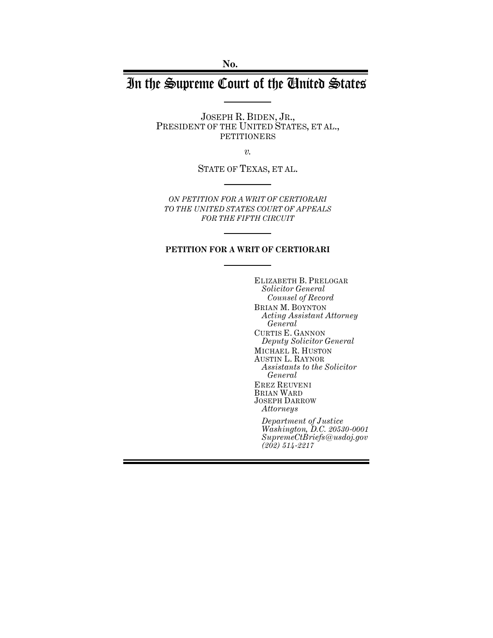**No.**

# In the Supreme Court of the United States

JOSEPH R. BIDEN, JR., PRESIDENT OF THE UNITED STATES, ET AL., PETITIONERS

*v.*

STATE OF TEXAS, ET AL.

*ON PETITION FOR A WRIT OF CERTIORARI TO THE UNITED STATES COURT OF APPEALS FOR THE FIFTH CIRCUIT*

#### **PETITION FOR A WRIT OF CERTIORARI**

ELIZABETH B. PRELOGAR *Solicitor General Counsel of Record* BRIAN M. BOYNTON *Acting Assistant Attorney General* CURTIS E. GANNON *Deputy Solicitor General* MICHAEL R. HUSTON AUSTIN L. RAYNOR *Assistants to the Solicitor General* EREZ REUVENI BRIAN WARD JOSEPH DARROW *Attorneys Department of Justice*

*Washington, D.C. 20530-0001 SupremeCtBriefs@usdoj.gov (202) 514-2217*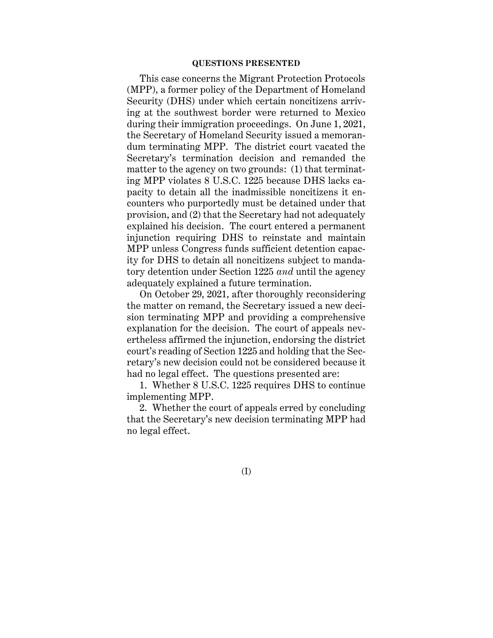#### **QUESTIONS PRESENTED**

This case concerns the Migrant Protection Protocols (MPP), a former policy of the Department of Homeland Security (DHS) under which certain noncitizens arriving at the southwest border were returned to Mexico during their immigration proceedings. On June 1, 2021, the Secretary of Homeland Security issued a memorandum terminating MPP. The district court vacated the Secretary's termination decision and remanded the matter to the agency on two grounds: (1) that terminating MPP violates 8 U.S.C. 1225 because DHS lacks capacity to detain all the inadmissible noncitizens it encounters who purportedly must be detained under that provision, and (2) that the Secretary had not adequately explained his decision. The court entered a permanent injunction requiring DHS to reinstate and maintain MPP unless Congress funds sufficient detention capacity for DHS to detain all noncitizens subject to mandatory detention under Section 1225 *and* until the agency adequately explained a future termination.

On October 29, 2021, after thoroughly reconsidering the matter on remand, the Secretary issued a new decision terminating MPP and providing a comprehensive explanation for the decision. The court of appeals nevertheless affirmed the injunction, endorsing the district court's reading of Section 1225 and holding that the Secretary's new decision could not be considered because it had no legal effect. The questions presented are:

1. Whether 8 U.S.C. 1225 requires DHS to continue implementing MPP.

2. Whether the court of appeals erred by concluding that the Secretary's new decision terminating MPP had no legal effect.

(I)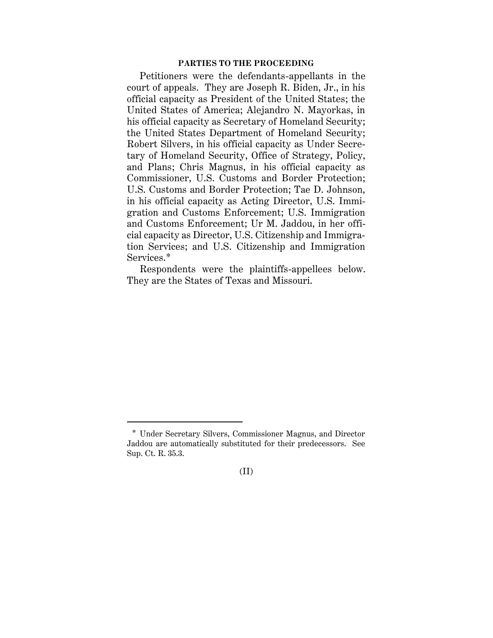#### **PARTIES TO THE PROCEEDING**

Petitioners were the defendants-appellants in the court of appeals. They are Joseph R. Biden, Jr., in his official capacity as President of the United States; the United States of America; Alejandro N. Mayorkas, in his official capacity as Secretary of Homeland Security; the United States Department of Homeland Security; Robert Silvers, in his official capacity as Under Secretary of Homeland Security, Office of Strategy, Policy, and Plans; Chris Magnus, in his official capacity as Commissioner, U.S. Customs and Border Protection; U.S. Customs and Border Protection; Tae D. Johnson, in his official capacity as Acting Director, U.S. Immigration and Customs Enforcement; U.S. Immigration and Customs Enforcement; Ur M. Jaddou, in her official capacity as Director, U.S. Citizenship and Immigration Services; and U.S. Citizenship and Immigration Services.\*

Respondents were the plaintiffs-appellees below. They are the States of Texas and Missouri.

<sup>\*</sup> Under Secretary Silvers, Commissioner Magnus, and Director Jaddou are automatically substituted for their predecessors. See Sup. Ct. R. 35.3.

<sup>(</sup>II)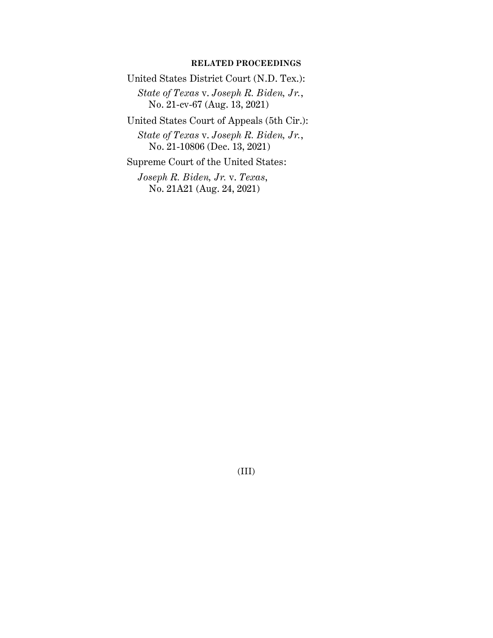### **RELATED PROCEEDINGS**

United States District Court (N.D. Tex.):

*State of Texas* v. *Joseph R. Biden, Jr.*, No. 21-cv-67 (Aug. 13, 2021)

United States Court of Appeals (5th Cir.):

*State of Texas* v. *Joseph R. Biden, Jr.*, No. 21-10806 (Dec. 13, 2021)

Supreme Court of the United States:

*Joseph R. Biden, Jr.* v. *Texas*, No. 21A21 (Aug. 24, 2021)

(III)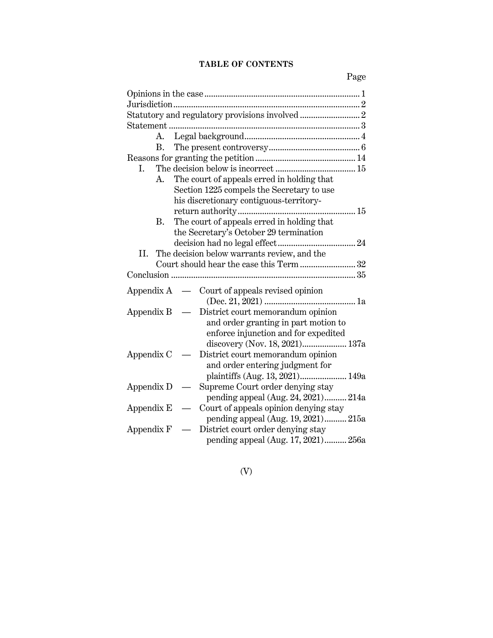# **TABLE OF CONTENTS**

| A.                                                                                                             |
|----------------------------------------------------------------------------------------------------------------|
| B.                                                                                                             |
|                                                                                                                |
| I.                                                                                                             |
| The court of appeals erred in holding that<br>A.                                                               |
| Section 1225 compels the Secretary to use                                                                      |
| his discretionary contiguous-territory-                                                                        |
|                                                                                                                |
| The court of appeals erred in holding that<br>B.                                                               |
| the Secretary's October 29 termination                                                                         |
|                                                                                                                |
| The decision below warrants review, and the<br>II.                                                             |
| Court should hear the case this Term 32                                                                        |
|                                                                                                                |
| Appendix $A \quad - \quad$ Court of appeals revised opinion                                                    |
| District court memorandum opinion<br>Appendix $B -$                                                            |
| and order granting in part motion to<br>enforce injunction and for expedited<br>discovery (Nov. 18, 2021) 137a |
| Appendix C<br>District court memorandum opinion                                                                |
| and order entering judgment for                                                                                |
| plaintiffs (Aug. 13, 2021) 149a                                                                                |
| Supreme Court order denying stay<br>Appendix D                                                                 |
| pending appeal (Aug. 24, 2021) 214a                                                                            |
| Court of appeals opinion denying stay<br>Appendix E                                                            |
| pending appeal (Aug. 19, 2021) 215a                                                                            |
| District court order denying stay<br>Appendix F                                                                |
| pending appeal (Aug. 17, 2021) 256a                                                                            |

(V)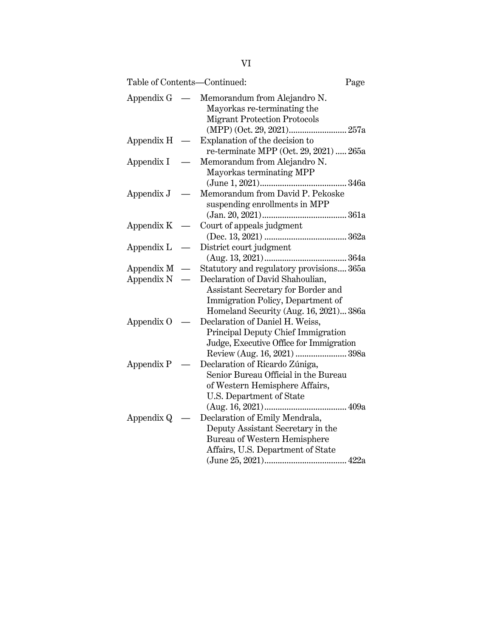| Table of Contents-Continued: |                          |                                                                                                                                                       | Page |
|------------------------------|--------------------------|-------------------------------------------------------------------------------------------------------------------------------------------------------|------|
| Appendix G                   | $\overline{\phantom{0}}$ | Memorandum from Alejandro N.<br>Mayorkas re-terminating the<br><b>Migrant Protection Protocols</b>                                                    |      |
| Appendix H                   |                          | Explanation of the decision to<br>re-terminate MPP (Oct. 29, 2021)  265a                                                                              |      |
| Appendix I                   |                          | Memorandum from Alejandro N.<br>Mayorkas terminating MPP                                                                                              |      |
| Appendix J                   |                          | Memorandum from David P. Pekoske<br>suspending enrollments in MPP                                                                                     |      |
| Appendix K                   |                          | Court of appeals judgment                                                                                                                             |      |
| Appendix L                   |                          | District court judgment                                                                                                                               |      |
| Appendix M                   | $\overline{\phantom{0}}$ | Statutory and regulatory provisions 365a                                                                                                              |      |
| Appendix N                   |                          | Declaration of David Shahoulian,<br>Assistant Secretary for Border and<br>Immigration Policy, Department of<br>Homeland Security (Aug. 16, 2021) 386a |      |
| Appendix O                   |                          | Declaration of Daniel H. Weiss,<br>Principal Deputy Chief Immigration<br>Judge, Executive Office for Immigration<br>Review (Aug. 16, 2021)  398a      |      |
| Appendix P                   |                          | Declaration of Ricardo Zúniga,<br>Senior Bureau Official in the Bureau<br>of Western Hemisphere Affairs,<br>U.S. Department of State                  | 409a |
| Appendix Q                   |                          | Declaration of Emily Mendrala,<br>Deputy Assistant Secretary in the<br>Bureau of Western Hemisphere<br>Affairs, U.S. Department of State              |      |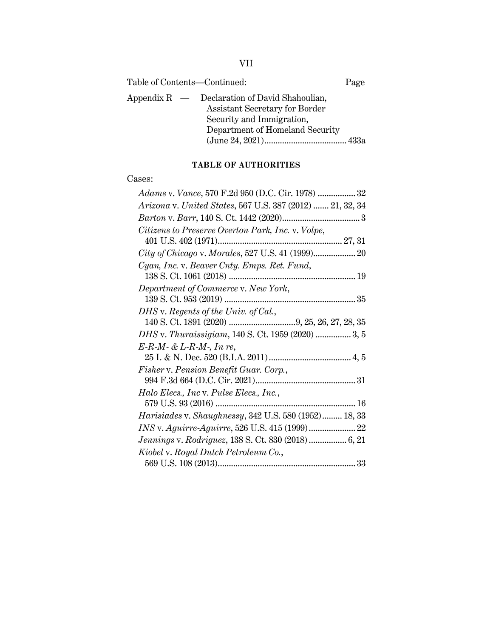| Table of Contents—Continued:<br>Page                                                                                                              |  |
|---------------------------------------------------------------------------------------------------------------------------------------------------|--|
| Appendix $R$ — Declaration of David Shahoulian,<br>Assistant Secretary for Border<br>Security and Immigration,<br>Department of Homeland Security |  |

# **TABLE OF AUTHORITIES**

## Cases:

| Adams v. Vance, 570 F.2d 950 (D.C. Cir. 1978)  32            |
|--------------------------------------------------------------|
| Arizona v. United States, 567 U.S. 387 (2012)  21, 32, 34    |
|                                                              |
| Citizens to Preserve Overton Park, Inc. v. Volpe,            |
|                                                              |
| City of Chicago v. Morales, 527 U.S. 41 (1999) 20            |
| Cyan, Inc. v. Beaver Cnty. Emps. Ret. Fund,                  |
|                                                              |
| Department of Commerce v. New York,                          |
|                                                              |
| DHS v. Regents of the Univ. of Cal.,                         |
|                                                              |
| DHS v. Thuraissigiam, 140 S. Ct. 1959 (2020)  3, 5           |
| $E-R-M-$ & $L-R-M$ -, In re,                                 |
|                                                              |
| Fisher v. Pension Benefit Guar. Corp.,                       |
|                                                              |
| Halo Elecs., Inc v. Pulse Elecs., Inc.,                      |
|                                                              |
| <i>Harisiades v. Shaughnessy, 342 U.S. 580 (1952) 18, 33</i> |
| INS v. Aguirre-Aguirre, 526 U.S. 415 (1999) 22               |
| <i>Jennings v. Rodriguez</i> , 138 S. Ct. 830 (2018)  6, 21  |
| Kiobel v. Royal Dutch Petroleum Co.,                         |
|                                                              |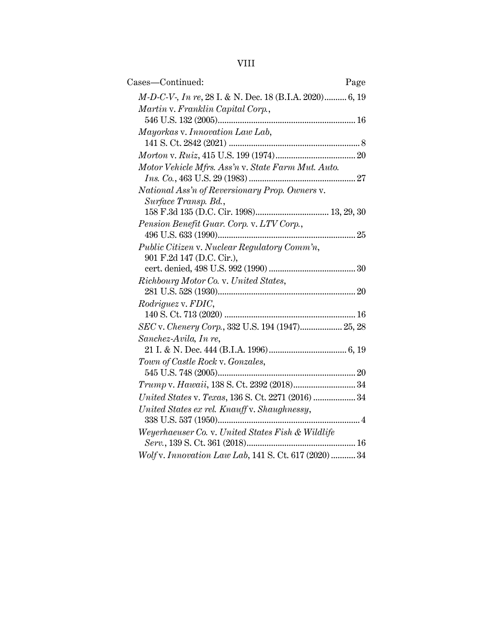# VIII

| Cases—Continued:                                        | Page |
|---------------------------------------------------------|------|
| M-D-C-V-, In re, 28 I. & N. Dec. 18 (B.I.A. 2020) 6, 19 |      |
| Martin v. Franklin Capital Corp.,                       |      |
|                                                         |      |
| Mayorkas v. Innovation Law Lab,                         |      |
|                                                         |      |
|                                                         |      |
| Motor Vehicle Mfrs. Ass'n v. State Farm Mut. Auto.      |      |
|                                                         |      |
| National Ass'n of Reversionary Prop. Owners v.          |      |
| Surface Transp. Bd.,                                    |      |
|                                                         |      |
| Pension Benefit Guar. Corp. v. LTV Corp.,               |      |
|                                                         |      |
| Public Citizen v. Nuclear Regulatory Comm'n,            |      |
| 901 F.2d 147 (D.C. Cir.),                               |      |
|                                                         |      |
| Richbourg Motor Co. v. United States,                   |      |
|                                                         |      |
| Rodriguez v. FDIC,                                      |      |
|                                                         |      |
| SEC v. Chenery Corp., 332 U.S. 194 (1947) 25, 28        |      |
| Sanchez-Avila, In re,                                   |      |
|                                                         |      |
| Town of Castle Rock v. Gonzales,                        |      |
|                                                         |      |
|                                                         |      |
| United States v. Texas, 136 S. Ct. 2271 (2016)  34      |      |
| United States ex rel. Knauff v. Shaughnessy,            |      |
|                                                         |      |
| Weyerhaeuser Co. v. United States Fish & Wildlife       |      |
|                                                         |      |
| Wolf v. Innovation Law Lab, 141 S. Ct. 617 (2020)  34   |      |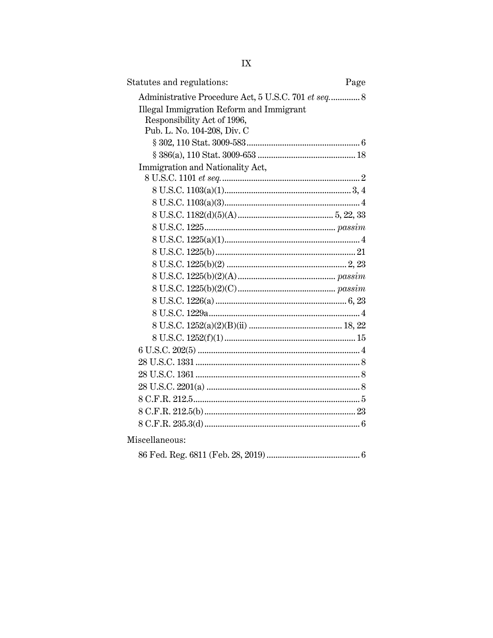| Statutes and regulations:<br>Page                                                                                                                             |  |
|---------------------------------------------------------------------------------------------------------------------------------------------------------------|--|
| Administrative Procedure Act, 5 U.S.C. 701 et seq 8<br>Illegal Immigration Reform and Immigrant<br>Responsibility Act of 1996,<br>Pub. L. No. 104-208, Div. C |  |
|                                                                                                                                                               |  |
|                                                                                                                                                               |  |
| Immigration and Nationality Act,                                                                                                                              |  |
|                                                                                                                                                               |  |
|                                                                                                                                                               |  |
|                                                                                                                                                               |  |
|                                                                                                                                                               |  |
|                                                                                                                                                               |  |
|                                                                                                                                                               |  |
|                                                                                                                                                               |  |
|                                                                                                                                                               |  |
|                                                                                                                                                               |  |
|                                                                                                                                                               |  |
|                                                                                                                                                               |  |
|                                                                                                                                                               |  |
|                                                                                                                                                               |  |
|                                                                                                                                                               |  |
|                                                                                                                                                               |  |
|                                                                                                                                                               |  |
|                                                                                                                                                               |  |
|                                                                                                                                                               |  |
|                                                                                                                                                               |  |
|                                                                                                                                                               |  |
| Miscellaneous:                                                                                                                                                |  |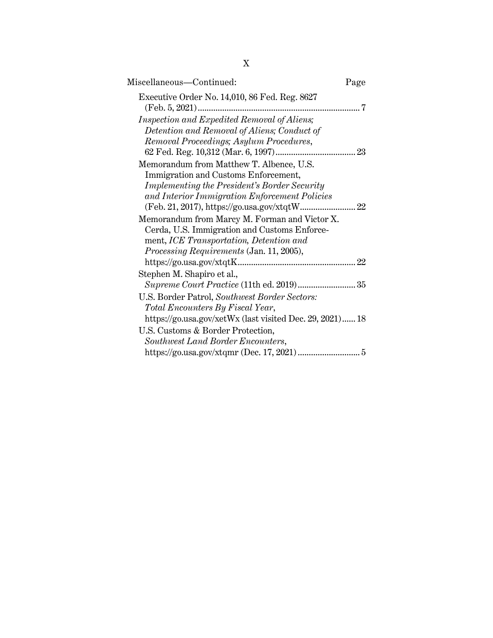| Miscellaneous—Continued:                                 | Page |
|----------------------------------------------------------|------|
| Executive Order No. 14,010, 86 Fed. Reg. 8627<br>        | 7    |
| Inspection and Expedited Removal of Aliens;              |      |
| Detention and Removal of Aliens; Conduct of              |      |
| Removal Proceedings; Asylum Procedures,                  |      |
|                                                          |      |
| Memorandum from Matthew T. Albence, U.S.                 |      |
| Immigration and Customs Enforcement,                     |      |
| <b>Implementing the President's Border Security</b>      |      |
| and Interior Immigration Enforcement Policies            |      |
|                                                          |      |
| Memorandum from Marcy M. Forman and Victor X.            |      |
| Cerda, U.S. Immigration and Customs Enforce-             |      |
| ment, ICE Transportation, Detention and                  |      |
| <i>Processing Requirements</i> (Jan. 11, 2005),          |      |
|                                                          |      |
| Stephen M. Shapiro et al.,                               |      |
|                                                          |      |
| U.S. Border Patrol, Southwest Border Sectors:            |      |
| Total Encounters By Fiscal Year,                         |      |
| https://go.usa.gov/xetWx (last visited Dec. 29, 2021) 18 |      |
| U.S. Customs & Border Protection,                        |      |
| Southwest Land Border Encounters,                        |      |
|                                                          |      |

X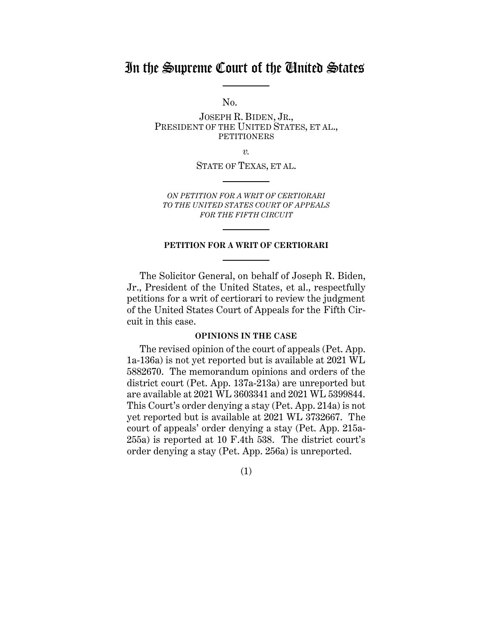# In the Supreme Court of the United States

No.

JOSEPH R. BIDEN, JR., PRESIDENT OF THE UNITED STATES, ET AL., PETITIONERS

*v.*

STATE OF TEXAS, ET AL.

*ON PETITION FOR A WRIT OF CERTIORARI TO THE UNITED STATES COURT OF APPEALS FOR THE FIFTH CIRCUIT*

#### **PETITION FOR A WRIT OF CERTIORARI**

The Solicitor General, on behalf of Joseph R. Biden, Jr., President of the United States, et al., respectfully petitions for a writ of certiorari to review the judgment of the United States Court of Appeals for the Fifth Circuit in this case.

#### **OPINIONS IN THE CASE**

<span id="page-10-0"></span>The revised opinion of the court of appeals (Pet. App. 1a-136a) is not yet reported but is available at 2021 WL 5882670. The memorandum opinions and orders of the district court (Pet. App. 137a-213a) are unreported but are available at 2021 WL 3603341 and 2021 WL 5399844. This Court's order denying a stay (Pet. App. 214a) is not yet reported but is available at 2021 WL 3732667. The court of appeals' order denying a stay (Pet. App. 215a-255a) is reported at 10 F.4th 538. The district court's order denying a stay (Pet. App. 256a) is unreported.

(1)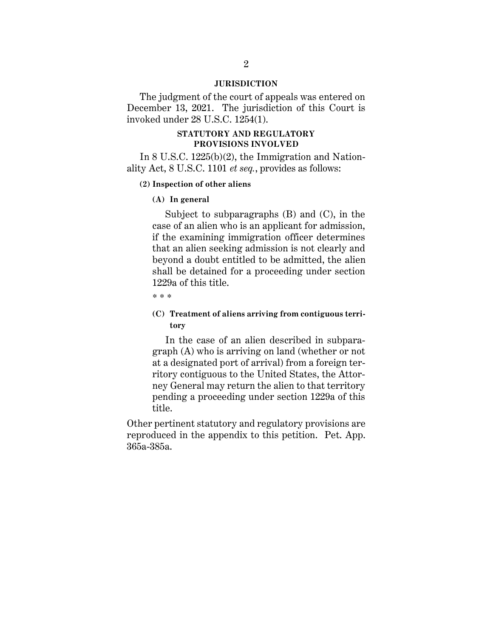#### **JURISDICTION**

<span id="page-11-0"></span>The judgment of the court of appeals was entered on December 13, 2021. The jurisdiction of this Court is invoked under 28 U.S.C. 1254(1).

#### **STATUTORY AND REGULATORY PROVISIONS INVOLVED**

<span id="page-11-1"></span>In 8 U.S.C. 1225(b)(2), the Immigration and Nationality Act, 8 U.S.C. 1101 *et seq.*, provides as follows:

#### **(2) Inspection of other aliens**

#### **(A) In general**

Subject to subparagraphs (B) and (C), in the case of an alien who is an applicant for admission, if the examining immigration officer determines that an alien seeking admission is not clearly and beyond a doubt entitled to be admitted, the alien shall be detained for a proceeding under section 1229a of this title.

\* \* \*

## **(C) Treatment of aliens arriving from contiguous territory**

In the case of an alien described in subparagraph (A) who is arriving on land (whether or not at a designated port of arrival) from a foreign territory contiguous to the United States, the Attorney General may return the alien to that territory pending a proceeding under section 1229a of this title.

Other pertinent statutory and regulatory provisions are reproduced in the appendix to this petition. Pet. App. 365a-385a.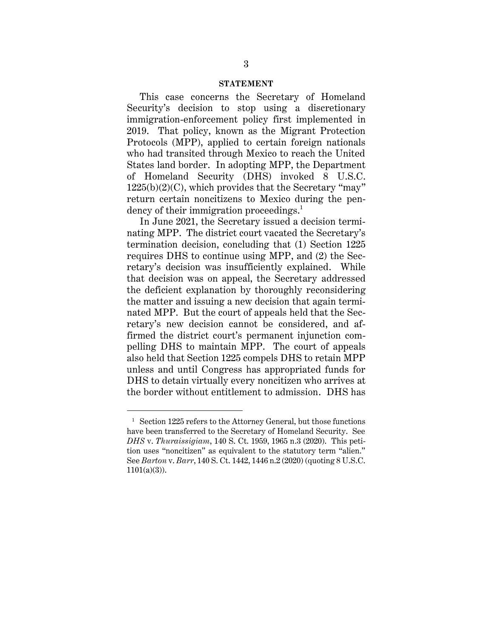#### **STATEMENT**

<span id="page-12-0"></span>This case concerns the Secretary of Homeland Security's decision to stop using a discretionary immigration-enforcement policy first implemented in 2019. That policy, known as the Migrant Protection Protocols (MPP), applied to certain foreign nationals who had transited through Mexico to reach the United States land border. In adopting MPP, the Department of Homeland Security (DHS) invoked 8 U.S.C.  $1225(b)(2)(C)$ , which provides that the Secretary "may" return certain noncitizens to Mexico during the pendency of their immigration proceedings.<sup>1</sup>

In June 2021, the Secretary issued a decision terminating MPP. The district court vacated the Secretary's termination decision, concluding that (1) Section 1225 requires DHS to continue using MPP, and (2) the Secretary's decision was insufficiently explained. While that decision was on appeal, the Secretary addressed the deficient explanation by thoroughly reconsidering the matter and issuing a new decision that again terminated MPP. But the court of appeals held that the Secretary's new decision cannot be considered, and affirmed the district court's permanent injunction compelling DHS to maintain MPP. The court of appeals also held that Section 1225 compels DHS to retain MPP unless and until Congress has appropriated funds for DHS to detain virtually every noncitizen who arrives at the border without entitlement to admission. DHS has

 $1$  Section 1225 refers to the Attorney General, but those functions have been transferred to the Secretary of Homeland Security. See *DHS* v. *Thuraissigiam*, 140 S. Ct. 1959, 1965 n.3 (2020). This petition uses "noncitizen" as equivalent to the statutory term "alien." See *Barton* v. *Barr*, 140 S. Ct. 1442, 1446 n.2 (2020) (quoting 8 U.S.C.  $1101(a)(3)$ ).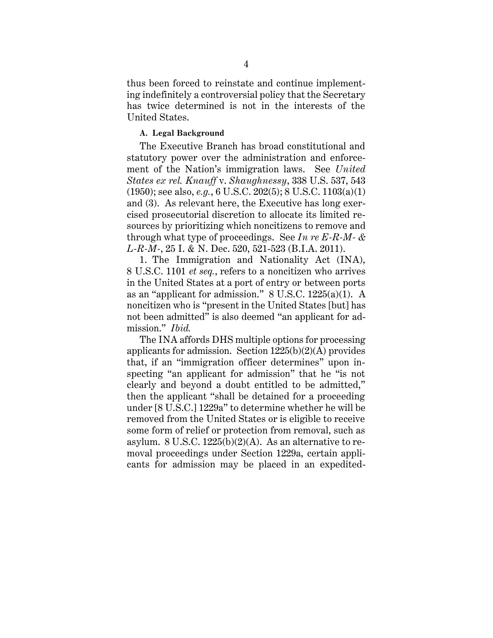thus been forced to reinstate and continue implementing indefinitely a controversial policy that the Secretary has twice determined is not in the interests of the United States.

#### <span id="page-13-0"></span>**A. Legal Background**

The Executive Branch has broad constitutional and statutory power over the administration and enforcement of the Nation's immigration laws. See *United States ex rel. Knauff* v. *Shaughnessy*, 338 U.S. 537, 543 (1950); see also, *e.g.*, 6 U.S.C. 202(5); 8 U.S.C. 1103(a)(1) and (3). As relevant here, the Executive has long exercised prosecutorial discretion to allocate its limited resources by prioritizing which noncitizens to remove and through what type of proceedings. See *In re E-R-M- & L-R-M-*, 25 I. & N. Dec. 520, 521-523 (B.I.A. 2011).

1. The Immigration and Nationality Act (INA), 8 U.S.C. 1101 *et seq.*, refers to a noncitizen who arrives in the United States at a port of entry or between ports as an "applicant for admission." 8 U.S.C. 1225(a)(1). A noncitizen who is "present in the United States [but] has not been admitted" is also deemed "an applicant for admission." *Ibid.* 

The INA affords DHS multiple options for processing applicants for admission. Section  $1225(b)(2)(A)$  provides that, if an "immigration officer determines" upon inspecting "an applicant for admission" that he "is not clearly and beyond a doubt entitled to be admitted," then the applicant "shall be detained for a proceeding under [8 U.S.C.] 1229a" to determine whether he will be removed from the United States or is eligible to receive some form of relief or protection from removal, such as asylum. 8 U.S.C.  $1225(b)(2)(A)$ . As an alternative to removal proceedings under Section 1229a, certain applicants for admission may be placed in an expedited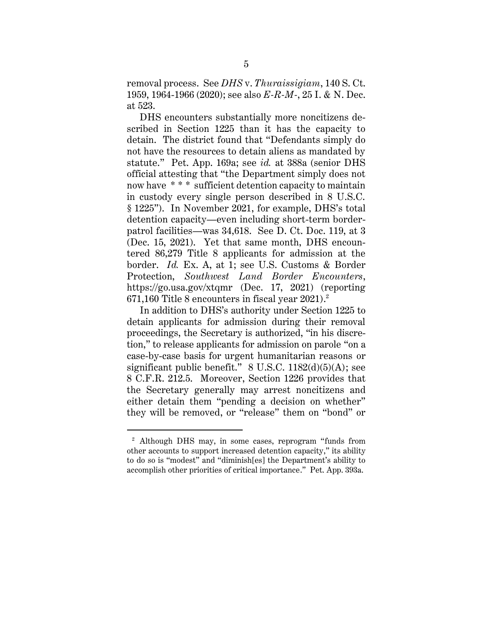removal process. See *DHS* v. *Thuraissigiam*, 140 S. Ct. 1959, 1964-1966 (2020); see also *E-R-M-*, 25 I. & N. Dec. at 523.

DHS encounters substantially more noncitizens described in Section 1225 than it has the capacity to detain. The district found that "Defendants simply do not have the resources to detain aliens as mandated by statute." Pet. App. 169a; see *id.* at 388a (senior DHS official attesting that "the Department simply does not now have \* \* \* sufficient detention capacity to maintain in custody every single person described in 8 U.S.C. § 1225"). In November 2021, for example, DHS's total detention capacity—even including short-term borderpatrol facilities—was 34,618. See D. Ct. Doc. 119, at 3 (Dec. 15, 2021). Yet that same month, DHS encountered 86,279 Title 8 applicants for admission at the border. *Id.* Ex. A, at 1; see U.S. Customs & Border Protection, *Southwest Land Border Encounters*, https://go.usa.gov/xtqmr (Dec. 17, 2021) (reporting 671,160 Title 8 encounters in fiscal year 2021). $^2$ 

In addition to DHS's authority under Section 1225 to detain applicants for admission during their removal proceedings, the Secretary is authorized, "in his discretion," to release applicants for admission on parole "on a case-by-case basis for urgent humanitarian reasons or significant public benefit."  $8 \text{ U.S.C. } 1182\text{(d)}(5)\text{(A)}$ ; see 8 C.F.R. 212.5. Moreover, Section 1226 provides that the Secretary generally may arrest noncitizens and either detain them "pending a decision on whether" they will be removed, or "release" them on "bond" or

<sup>2</sup> Although DHS may, in some cases, reprogram "funds from other accounts to support increased detention capacity," its ability to do so is "modest" and "diminish[es] the Department's ability to accomplish other priorities of critical importance." Pet. App. 393a.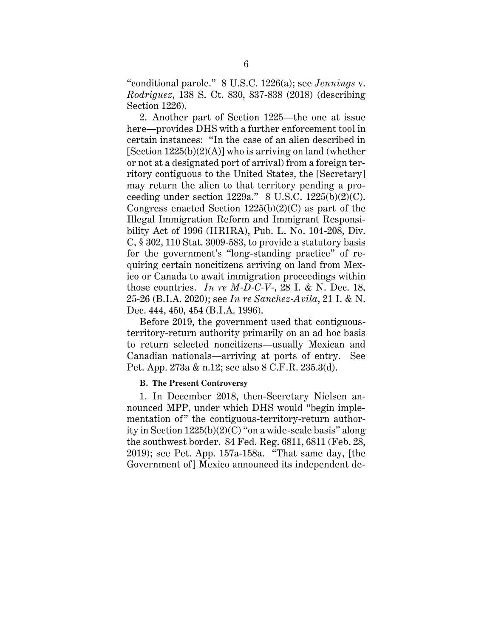"conditional parole." 8 U.S.C. 1226(a); see *Jennings* v. *Rodriguez*, 138 S. Ct. 830, 837-838 (2018) (describing Section 1226).

2. Another part of Section 1225—the one at issue here—provides DHS with a further enforcement tool in certain instances: "In the case of an alien described in [Section  $1225(b)(2)(A)$ ] who is arriving on land (whether or not at a designated port of arrival) from a foreign territory contiguous to the United States, the [Secretary] may return the alien to that territory pending a proceeding under section  $1229a$ ." 8 U.S.C.  $1225(b)(2)(C)$ . Congress enacted Section  $1225(b)(2)(C)$  as part of the Illegal Immigration Reform and Immigrant Responsibility Act of 1996 (IIRIRA), Pub. L. No. 104-208, Div. C, § 302, 110 Stat. 3009-583, to provide a statutory basis for the government's "long-standing practice" of requiring certain noncitizens arriving on land from Mexico or Canada to await immigration proceedings within those countries. *In re M-D-C-V-*, 28 I. & N. Dec. 18, 25-26 (B.I.A. 2020); see *In re Sanchez-Avila*, 21 I. & N. Dec. 444, 450, 454 (B.I.A. 1996).

Before 2019, the government used that contiguousterritory-return authority primarily on an ad hoc basis to return selected noncitizens—usually Mexican and Canadian nationals—arriving at ports of entry. See Pet. App. 273a & n.12; see also 8 C.F.R. 235.3(d).

#### <span id="page-15-0"></span>**B. The Present Controversy**

1. In December 2018, then-Secretary Nielsen announced MPP, under which DHS would "begin implementation of" the contiguous-territory-return authority in Section 1225(b)(2)(C) "on a wide-scale basis" along the southwest border. 84 Fed. Reg. 6811, 6811 (Feb. 28, 2019); see Pet. App. 157a-158a. "That same day, [the Government of] Mexico announced its independent de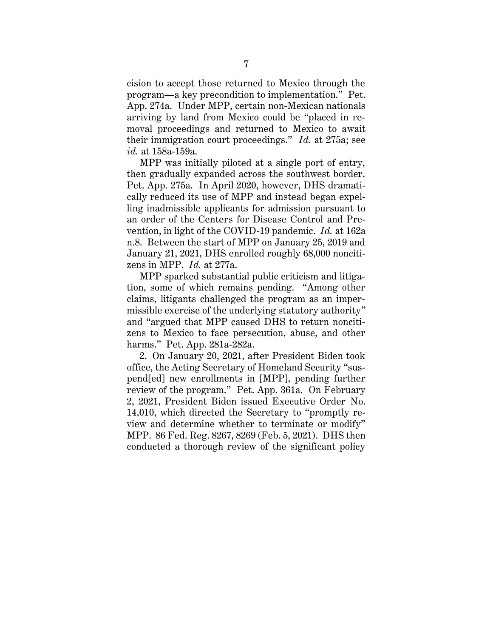cision to accept those returned to Mexico through the program—a key precondition to implementation." Pet. App. 274a. Under MPP, certain non-Mexican nationals arriving by land from Mexico could be "placed in removal proceedings and returned to Mexico to await their immigration court proceedings." *Id.* at 275a; see *id.* at 158a-159a.

MPP was initially piloted at a single port of entry, then gradually expanded across the southwest border. Pet. App. 275a. In April 2020, however, DHS dramatically reduced its use of MPP and instead began expelling inadmissible applicants for admission pursuant to an order of the Centers for Disease Control and Prevention, in light of the COVID-19 pandemic. *Id.* at 162a n.8. Between the start of MPP on January 25, 2019 and January 21, 2021, DHS enrolled roughly 68,000 noncitizens in MPP. *Id.* at 277a.

MPP sparked substantial public criticism and litigation, some of which remains pending. "Among other claims, litigants challenged the program as an impermissible exercise of the underlying statutory authority" and "argued that MPP caused DHS to return noncitizens to Mexico to face persecution, abuse, and other harms." Pet. App. 281a-282a.

2. On January 20, 2021, after President Biden took office, the Acting Secretary of Homeland Security "suspend[ed] new enrollments in [MPP], pending further review of the program." Pet. App. 361a. On February 2, 2021, President Biden issued Executive Order No. 14,010, which directed the Secretary to "promptly review and determine whether to terminate or modify" MPP. 86 Fed. Reg. 8267, 8269 (Feb. 5, 2021). DHS then conducted a thorough review of the significant policy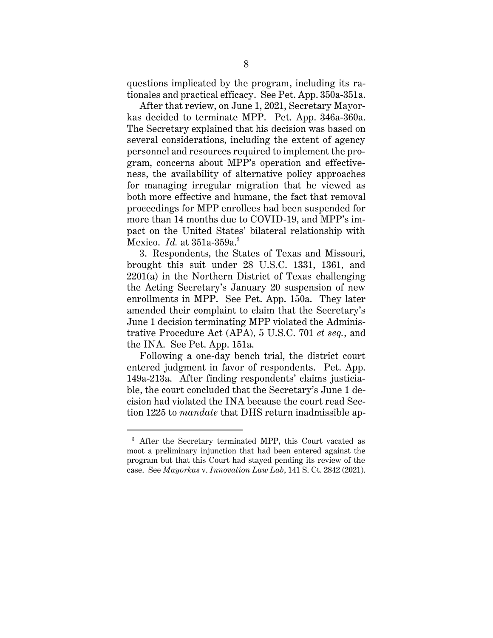questions implicated by the program, including its rationales and practical efficacy. See Pet. App. 350a-351a.

After that review, on June 1, 2021, Secretary Mayorkas decided to terminate MPP. Pet. App. 346a-360a. The Secretary explained that his decision was based on several considerations, including the extent of agency personnel and resources required to implement the program, concerns about MPP's operation and effectiveness, the availability of alternative policy approaches for managing irregular migration that he viewed as both more effective and humane, the fact that removal proceedings for MPP enrollees had been suspended for more than 14 months due to COVID-19, and MPP's impact on the United States' bilateral relationship with Mexico. *Id.* at 351a-359a. 3

3. Respondents, the States of Texas and Missouri, brought this suit under 28 U.S.C. 1331, 1361, and 2201(a) in the Northern District of Texas challenging the Acting Secretary's January 20 suspension of new enrollments in MPP. See Pet. App. 150a. They later amended their complaint to claim that the Secretary's June 1 decision terminating MPP violated the Administrative Procedure Act (APA), 5 U.S.C. 701 *et seq.*, and the INA. See Pet. App. 151a.

Following a one-day bench trial, the district court entered judgment in favor of respondents. Pet. App. 149a-213a. After finding respondents' claims justiciable, the court concluded that the Secretary's June 1 decision had violated the INA because the court read Section 1225 to *mandate* that DHS return inadmissible ap-

<sup>3</sup> After the Secretary terminated MPP, this Court vacated as moot a preliminary injunction that had been entered against the program but that this Court had stayed pending its review of the case. See *Mayorkas* v. *Innovation Law Lab*, 141 S. Ct. 2842 (2021).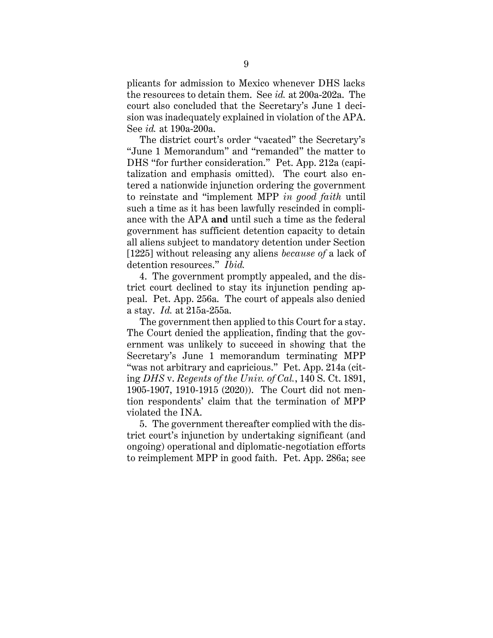plicants for admission to Mexico whenever DHS lacks the resources to detain them. See *id.* at 200a-202a. The court also concluded that the Secretary's June 1 decision was inadequately explained in violation of the APA. See *id.* at 190a-200a.

The district court's order "vacated" the Secretary's "June 1 Memorandum" and "remanded" the matter to DHS "for further consideration." Pet. App. 212a (capitalization and emphasis omitted). The court also entered a nationwide injunction ordering the government to reinstate and "implement MPP *in good faith* until such a time as it has been lawfully rescinded in compliance with the APA **and** until such a time as the federal government has sufficient detention capacity to detain all aliens subject to mandatory detention under Section [1225] without releasing any aliens *because of* a lack of detention resources." *Ibid.*

4. The government promptly appealed, and the district court declined to stay its injunction pending appeal. Pet. App. 256a. The court of appeals also denied a stay. *Id.* at 215a-255a.

The government then applied to this Court for a stay. The Court denied the application, finding that the government was unlikely to succeed in showing that the Secretary's June 1 memorandum terminating MPP "was not arbitrary and capricious." Pet. App. 214a (citing *DHS* v. *Regents of the Univ. of Cal.*, 140 S. Ct. 1891, 1905-1907, 1910-1915 (2020)). The Court did not mention respondents' claim that the termination of MPP violated the INA.

5. The government thereafter complied with the district court's injunction by undertaking significant (and ongoing) operational and diplomatic-negotiation efforts to reimplement MPP in good faith. Pet. App. 286a; see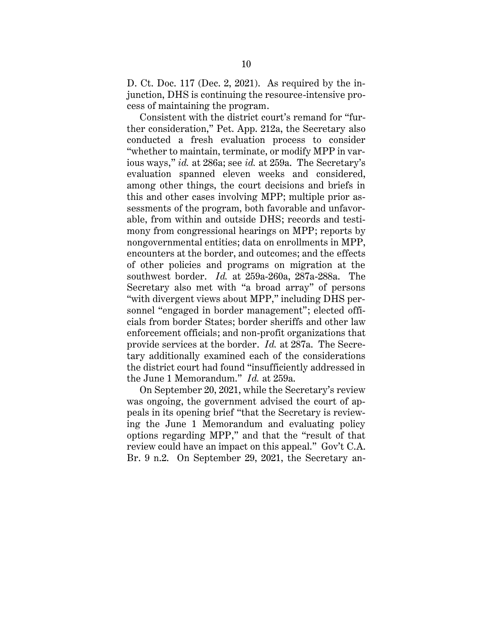D. Ct. Doc. 117 (Dec. 2, 2021). As required by the injunction, DHS is continuing the resource-intensive process of maintaining the program.

Consistent with the district court's remand for "further consideration," Pet. App. 212a, the Secretary also conducted a fresh evaluation process to consider "whether to maintain, terminate, or modify MPP in various ways," *id.* at 286a; see *id.* at 259a. The Secretary's evaluation spanned eleven weeks and considered, among other things, the court decisions and briefs in this and other cases involving MPP; multiple prior assessments of the program, both favorable and unfavorable, from within and outside DHS; records and testimony from congressional hearings on MPP; reports by nongovernmental entities; data on enrollments in MPP, encounters at the border, and outcomes; and the effects of other policies and programs on migration at the southwest border. *Id.* at 259a-260a, 287a-288a. The Secretary also met with "a broad array" of persons "with divergent views about MPP," including DHS personnel "engaged in border management"; elected officials from border States; border sheriffs and other law enforcement officials; and non-profit organizations that provide services at the border. *Id.* at 287a. The Secretary additionally examined each of the considerations the district court had found "insufficiently addressed in the June 1 Memorandum." *Id.* at 259a.

On September 20, 2021, while the Secretary's review was ongoing, the government advised the court of appeals in its opening brief "that the Secretary is reviewing the June 1 Memorandum and evaluating policy options regarding MPP," and that the "result of that review could have an impact on this appeal." Gov't C.A. Br. 9 n.2. On September 29, 2021, the Secretary an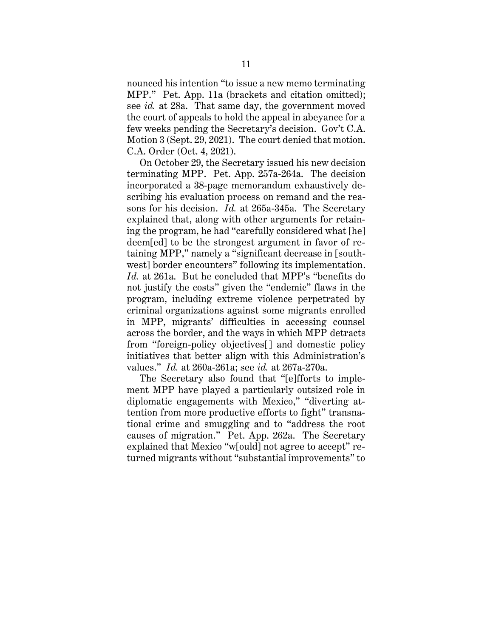nounced his intention "to issue a new memo terminating MPP." Pet. App. 11a (brackets and citation omitted); see *id.* at 28a. That same day, the government moved the court of appeals to hold the appeal in abeyance for a few weeks pending the Secretary's decision. Gov't C.A. Motion 3 (Sept. 29, 2021). The court denied that motion. C.A. Order (Oct. 4, 2021).

On October 29, the Secretary issued his new decision terminating MPP. Pet. App. 257a-264a. The decision incorporated a 38-page memorandum exhaustively describing his evaluation process on remand and the reasons for his decision. *Id.* at 265a-345a. The Secretary explained that, along with other arguments for retaining the program, he had "carefully considered what [he] deem[ed] to be the strongest argument in favor of retaining MPP," namely a "significant decrease in [southwest] border encounters" following its implementation. *Id.* at 261a. But he concluded that MPP's "benefits do not justify the costs" given the "endemic" flaws in the program, including extreme violence perpetrated by criminal organizations against some migrants enrolled in MPP, migrants' difficulties in accessing counsel across the border, and the ways in which MPP detracts from "foreign-policy objectives[] and domestic policy initiatives that better align with this Administration's values." *Id.* at 260a-261a; see *id.* at 267a-270a.

The Secretary also found that "[e]fforts to implement MPP have played a particularly outsized role in diplomatic engagements with Mexico," "diverting attention from more productive efforts to fight" transnational crime and smuggling and to "address the root causes of migration." Pet. App. 262a. The Secretary explained that Mexico "w[ould] not agree to accept" returned migrants without "substantial improvements" to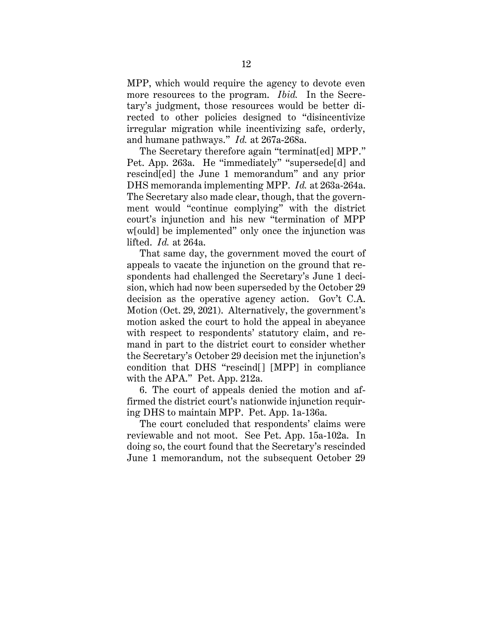MPP, which would require the agency to devote even more resources to the program. *Ibid.* In the Secretary's judgment, those resources would be better directed to other policies designed to "disincentivize irregular migration while incentivizing safe, orderly, and humane pathways." *Id.* at 267a-268a.

The Secretary therefore again "terminat[ed] MPP." Pet. App. 263a. He "immediately" "supersede[d] and rescind[ed] the June 1 memorandum" and any prior DHS memoranda implementing MPP. *Id.* at 263a-264a. The Secretary also made clear, though, that the government would "continue complying" with the district court's injunction and his new "termination of MPP w[ould] be implemented" only once the injunction was lifted. *Id.* at 264a.

That same day, the government moved the court of appeals to vacate the injunction on the ground that respondents had challenged the Secretary's June 1 decision, which had now been superseded by the October 29 decision as the operative agency action. Gov't C.A. Motion (Oct. 29, 2021). Alternatively, the government's motion asked the court to hold the appeal in abeyance with respect to respondents' statutory claim, and remand in part to the district court to consider whether the Secretary's October 29 decision met the injunction's condition that DHS "rescind[] [MPP] in compliance with the APA." Pet. App. 212a.

6. The court of appeals denied the motion and affirmed the district court's nationwide injunction requiring DHS to maintain MPP. Pet. App. 1a-136a.

The court concluded that respondents' claims were reviewable and not moot. See Pet. App. 15a-102a. In doing so, the court found that the Secretary's rescinded June 1 memorandum, not the subsequent October 29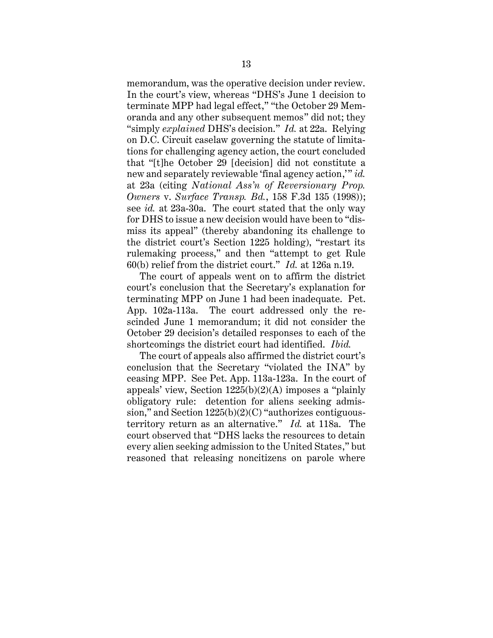memorandum, was the operative decision under review. In the court's view, whereas "DHS's June 1 decision to terminate MPP had legal effect," "the October 29 Memoranda and any other subsequent memos" did not; they "simply *explained* DHS's decision." *Id.* at 22a. Relying on D.C. Circuit caselaw governing the statute of limitations for challenging agency action, the court concluded that "[t]he October 29 [decision] did not constitute a new and separately reviewable 'final agency action,'" *id.* at 23a (citing *National Ass'n of Reversionary Prop. Owners* v. *Surface Transp. Bd.*, 158 F.3d 135 (1998)); see *id.* at 23a-30a. The court stated that the only way for DHS to issue a new decision would have been to "dismiss its appeal" (thereby abandoning its challenge to the district court's Section 1225 holding), "restart its rulemaking process," and then "attempt to get Rule 60(b) relief from the district court." *Id.* at 126a n.19.

The court of appeals went on to affirm the district court's conclusion that the Secretary's explanation for terminating MPP on June 1 had been inadequate. Pet. App. 102a-113a. The court addressed only the rescinded June 1 memorandum; it did not consider the October 29 decision's detailed responses to each of the shortcomings the district court had identified. *Ibid.*

The court of appeals also affirmed the district court's conclusion that the Secretary "violated the INA" by ceasing MPP. See Pet. App. 113a-123a. In the court of appeals' view, Section 1225(b)(2)(A) imposes a "plainly obligatory rule: detention for aliens seeking admission," and Section 1225(b)(2)(C) "authorizes contiguousterritory return as an alternative." *Id.* at 118a. The court observed that "DHS lacks the resources to detain every alien seeking admission to the United States," but reasoned that releasing noncitizens on parole where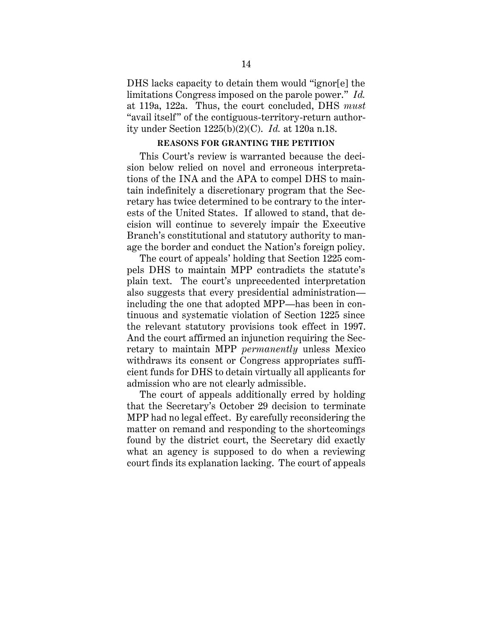DHS lacks capacity to detain them would "ignor[e] the limitations Congress imposed on the parole power." *Id.* at 119a, 122a. Thus, the court concluded, DHS *must* "avail itself" of the contiguous-territory-return authority under Section 1225(b)(2)(C). *Id.* at 120a n.18.

#### **REASONS FOR GRANTING THE PETITION**

<span id="page-23-0"></span>This Court's review is warranted because the decision below relied on novel and erroneous interpretations of the INA and the APA to compel DHS to maintain indefinitely a discretionary program that the Secretary has twice determined to be contrary to the interests of the United States. If allowed to stand, that decision will continue to severely impair the Executive Branch's constitutional and statutory authority to manage the border and conduct the Nation's foreign policy.

The court of appeals' holding that Section 1225 compels DHS to maintain MPP contradicts the statute's plain text. The court's unprecedented interpretation also suggests that every presidential administration including the one that adopted MPP—has been in continuous and systematic violation of Section 1225 since the relevant statutory provisions took effect in 1997. And the court affirmed an injunction requiring the Secretary to maintain MPP *permanently* unless Mexico withdraws its consent or Congress appropriates sufficient funds for DHS to detain virtually all applicants for admission who are not clearly admissible.

The court of appeals additionally erred by holding that the Secretary's October 29 decision to terminate MPP had no legal effect. By carefully reconsidering the matter on remand and responding to the shortcomings found by the district court, the Secretary did exactly what an agency is supposed to do when a reviewing court finds its explanation lacking. The court of appeals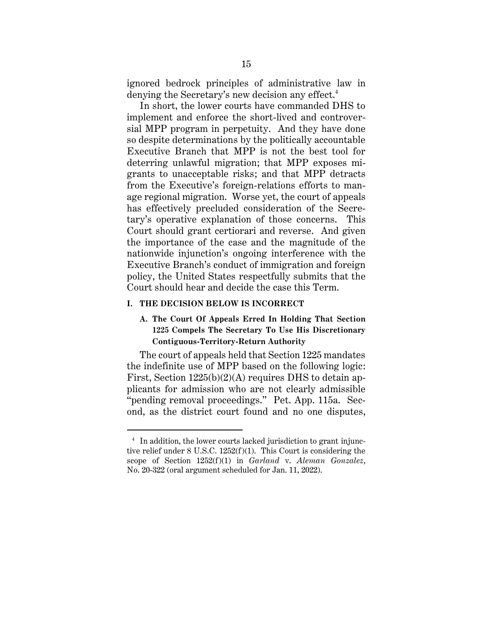ignored bedrock principles of administrative law in denying the Secretary's new decision any effect. 4

In short, the lower courts have commanded DHS to implement and enforce the short-lived and controversial MPP program in perpetuity. And they have done so despite determinations by the politically accountable Executive Branch that MPP is not the best tool for deterring unlawful migration; that MPP exposes migrants to unacceptable risks; and that MPP detracts from the Executive's foreign-relations efforts to manage regional migration. Worse yet, the court of appeals has effectively precluded consideration of the Secretary's operative explanation of those concerns. This Court should grant certiorari and reverse. And given the importance of the case and the magnitude of the nationwide injunction's ongoing interference with the Executive Branch's conduct of immigration and foreign policy, the United States respectfully submits that the Court should hear and decide the case this Term.

#### <span id="page-24-1"></span><span id="page-24-0"></span>**I. THE DECISION BELOW IS INCORRECT**

## **A. The Court Of Appeals Erred In Holding That Section 1225 Compels The Secretary To Use His Discretionary Contiguous-Territory-Return Authority**

The court of appeals held that Section 1225 mandates the indefinite use of MPP based on the following logic: First, Section 1225(b)(2)(A) requires DHS to detain applicants for admission who are not clearly admissible "pending removal proceedings." Pet. App. 115a. Second, as the district court found and no one disputes,

<sup>4</sup> In addition, the lower courts lacked jurisdiction to grant injunctive relief under 8 U.S.C. 1252(f)(1). This Court is considering the scope of Section 1252(f)(1) in *Garland* v. *Aleman Gonzalez*, No. 20-322 (oral argument scheduled for Jan. 11, 2022).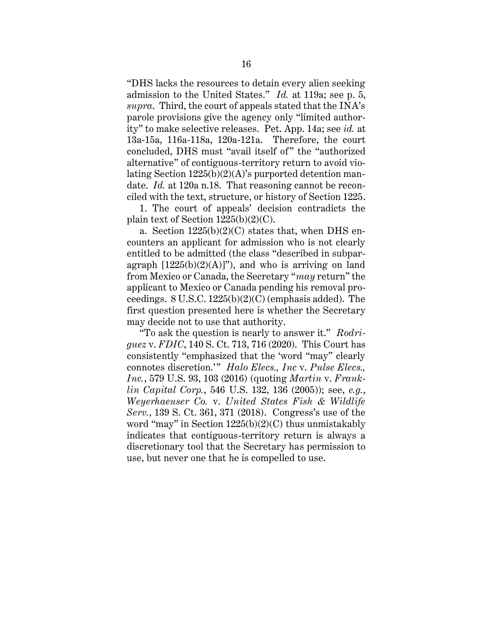"DHS lacks the resources to detain every alien seeking admission to the United States." *Id.* at 119a; see p. 5, *supra*. Third, the court of appeals stated that the INA's parole provisions give the agency only "limited authority" to make selective releases. Pet. App. 14a; see *id.* at 13a-15a, 116a-118a, 120a-121a. Therefore, the court concluded, DHS must "avail itself of" the "authorized alternative" of contiguous-territory return to avoid violating Section 1225(b)(2)(A)'s purported detention mandate. *Id.* at 120a n.18. That reasoning cannot be reconciled with the text, structure, or history of Section 1225.

1. The court of appeals' decision contradicts the plain text of Section 1225(b)(2)(C).

a. Section  $1225(b)(2)(C)$  states that, when DHS encounters an applicant for admission who is not clearly entitled to be admitted (the class "described in subparagraph  $[1225(b)(2)(A)]$ ", and who is arriving on land from Mexico or Canada, the Secretary "*may* return" the applicant to Mexico or Canada pending his removal proceedings. 8 U.S.C. 1225(b)(2)(C) (emphasis added). The first question presented here is whether the Secretary may decide not to use that authority.

"To ask the question is nearly to answer it." *Rodriguez* v. *FDIC*, 140 S. Ct. 713, 716 (2020). This Court has consistently "emphasized that the 'word "may" clearly connotes discretion.'" *Halo Elecs., Inc* v. *Pulse Elecs., Inc.*, 579 U.S. 93, 103 (2016) (quoting *Martin* v. *Franklin Capital Corp.*, 546 U.S. 132, 136 (2005)); see, *e.g.*, *Weyerhaeuser Co.* v. *United States Fish & Wildlife Serv.*, 139 S. Ct. 361, 371 (2018). Congress's use of the word "may" in Section  $1225(b)(2)(C)$  thus unmistakably indicates that contiguous-territory return is always a discretionary tool that the Secretary has permission to use, but never one that he is compelled to use.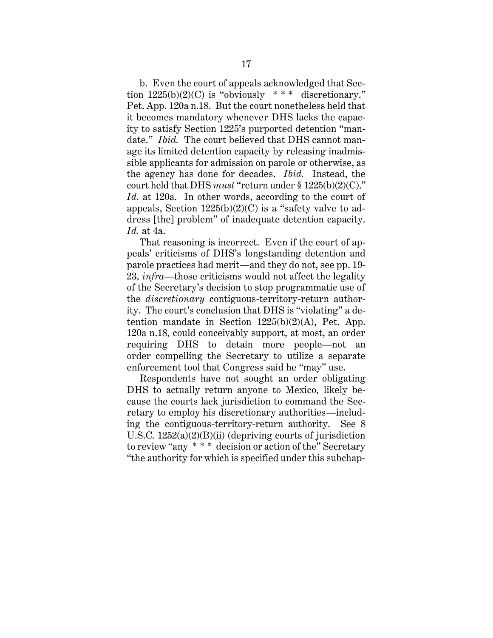b. Even the court of appeals acknowledged that Section  $1225(b)(2)(C)$  is "obviously \*\*\* discretionary." Pet. App. 120a n.18. But the court nonetheless held that it becomes mandatory whenever DHS lacks the capacity to satisfy Section 1225's purported detention "mandate." *Ibid.* The court believed that DHS cannot manage its limited detention capacity by releasing inadmissible applicants for admission on parole or otherwise, as the agency has done for decades. *Ibid.* Instead, the court held that DHS *must* "return under § 1225(b)(2)(C)." *Id.* at 120a. In other words, according to the court of appeals, Section  $1225(b)(2)(C)$  is a "safety valve to address [the] problem" of inadequate detention capacity. *Id.* at 4a.

That reasoning is incorrect. Even if the court of appeals' criticisms of DHS's longstanding detention and parole practices had merit—and they do not, see pp. 19- 23, *infra*—those criticisms would not affect the legality of the Secretary's decision to stop programmatic use of the *discretionary* contiguous-territory-return authority. The court's conclusion that DHS is "violating" a detention mandate in Section  $1225(b)(2)(A)$ , Pet. App. 120a n.18, could conceivably support, at most, an order requiring DHS to detain more people—not an order compelling the Secretary to utilize a separate enforcement tool that Congress said he "may" use.

Respondents have not sought an order obligating DHS to actually return anyone to Mexico, likely because the courts lack jurisdiction to command the Secretary to employ his discretionary authorities—including the contiguous-territory-return authority. See 8 U.S.C. 1252(a)(2)(B)(ii) (depriving courts of jurisdiction to review "any \* \* \* decision or action of the" Secretary "the authority for which is specified under this subchap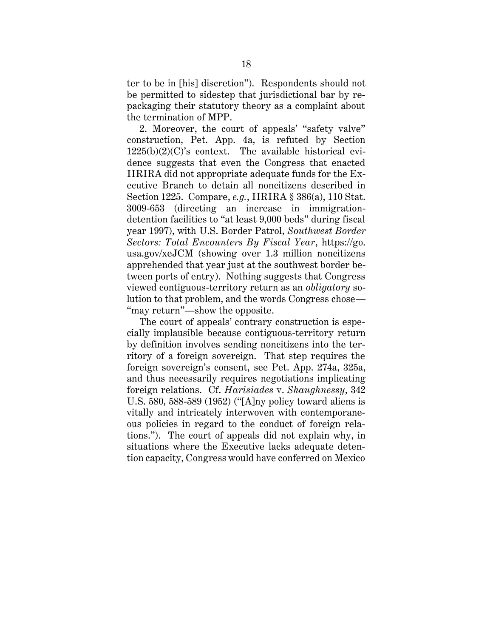ter to be in [his] discretion"). Respondents should not be permitted to sidestep that jurisdictional bar by repackaging their statutory theory as a complaint about the termination of MPP.

2. Moreover, the court of appeals' "safety valve" construction, Pet. App. 4a, is refuted by Section 1225(b)(2)(C)'s context. The available historical evidence suggests that even the Congress that enacted IIRIRA did not appropriate adequate funds for the Executive Branch to detain all noncitizens described in Section 1225. Compare, *e.g.*, IIRIRA § 386(a), 110 Stat. 3009-653 (directing an increase in immigrationdetention facilities to "at least 9,000 beds" during fiscal year 1997), with U.S. Border Patrol, *Southwest Border Sectors: Total Encounters By Fiscal Year*, https://go. usa.gov/xeJCM (showing over 1.3 million noncitizens apprehended that year just at the southwest border between ports of entry). Nothing suggests that Congress viewed contiguous-territory return as an *obligatory* solution to that problem, and the words Congress chose— "may return"—show the opposite.

The court of appeals' contrary construction is especially implausible because contiguous-territory return by definition involves sending noncitizens into the territory of a foreign sovereign. That step requires the foreign sovereign's consent, see Pet. App. 274a, 325a, and thus necessarily requires negotiations implicating foreign relations. Cf. *Harisiades* v. *Shaughnessy*, 342 U.S. 580, 588-589 (1952) ("[A]ny policy toward aliens is vitally and intricately interwoven with contemporaneous policies in regard to the conduct of foreign relations."). The court of appeals did not explain why, in situations where the Executive lacks adequate detention capacity, Congress would have conferred on Mexico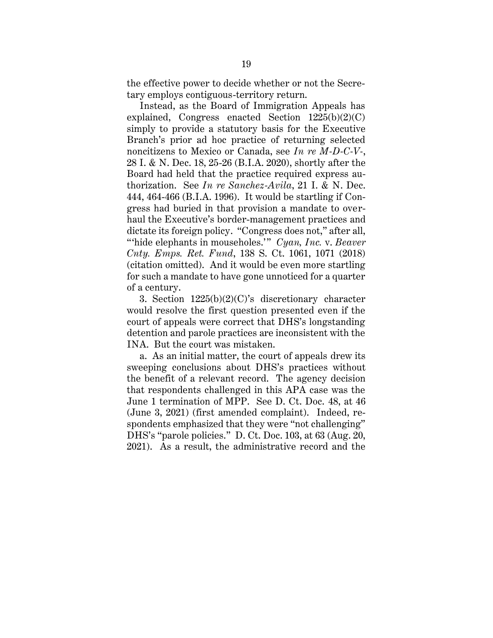the effective power to decide whether or not the Secretary employs contiguous-territory return.

Instead, as the Board of Immigration Appeals has explained, Congress enacted Section  $1225(b)(2)(C)$ simply to provide a statutory basis for the Executive Branch's prior ad hoc practice of returning selected noncitizens to Mexico or Canada, see *In re M-D-C-V-*, 28 I. & N. Dec. 18, 25-26 (B.I.A. 2020), shortly after the Board had held that the practice required express authorization. See *In re Sanchez-Avila*, 21 I. & N. Dec. 444, 464-466 (B.I.A. 1996). It would be startling if Congress had buried in that provision a mandate to overhaul the Executive's border-management practices and dictate its foreign policy. "Congress does not," after all, "hide elephants in mouseholes." *Cyan, Inc. v. Beaver Cnty. Emps. Ret. Fund*, 138 S. Ct. 1061, 1071 (2018) (citation omitted).And it would be even more startling for such a mandate to have gone unnoticed for a quarter of a century.

3. Section 1225(b)(2)(C)'s discretionary character would resolve the first question presented even if the court of appeals were correct that DHS's longstanding detention and parole practices are inconsistent with the INA. But the court was mistaken.

a. As an initial matter, the court of appeals drew its sweeping conclusions about DHS's practices without the benefit of a relevant record. The agency decision that respondents challenged in this APA case was the June 1 termination of MPP. See D. Ct. Doc. 48, at 46 (June 3, 2021) (first amended complaint). Indeed, respondents emphasized that they were "not challenging" DHS's "parole policies." D. Ct. Doc. 103, at 63 (Aug. 20, 2021). As a result, the administrative record and the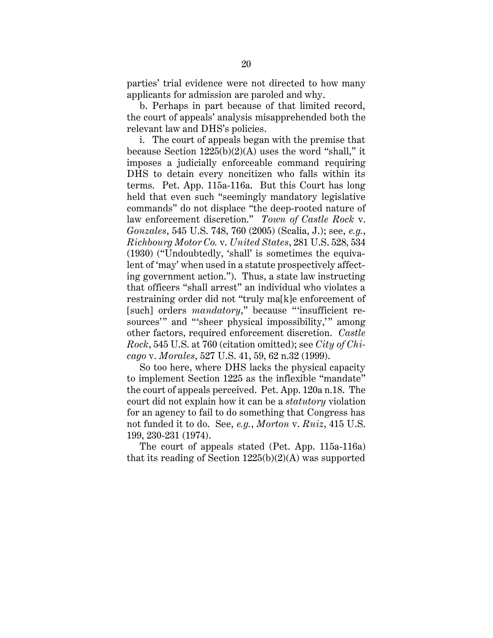parties' trial evidence were not directed to how many applicants for admission are paroled and why.

b. Perhaps in part because of that limited record, the court of appeals' analysis misapprehended both the relevant law and DHS's policies.

i. The court of appeals began with the premise that because Section  $1225(b)(2)(A)$  uses the word "shall," it imposes a judicially enforceable command requiring DHS to detain every noncitizen who falls within its terms. Pet. App. 115a-116a. But this Court has long held that even such "seemingly mandatory legislative commands" do not displace "the deep-rooted nature of law enforcement discretion." *Town of Castle Rock* v. *Gonzales*, 545 U.S. 748, 760 (2005) (Scalia, J.); see, *e.g.*, *Richbourg Motor Co.* v. *United States*, 281 U.S. 528, 534 (1930) ("Undoubtedly, 'shall' is sometimes the equivalent of 'may' when used in a statute prospectively affecting government action."). Thus, a state law instructing that officers "shall arrest" an individual who violates a restraining order did not "truly ma[k]e enforcement of [such] orders *mandatory*," because "insufficient resources'" and "'sheer physical impossibility," among other factors, required enforcement discretion. *Castle Rock*, 545 U.S. at 760 (citation omitted); see *City of Chicago* v. *Morales*, 527 U.S. 41, 59, 62 n.32 (1999).

So too here, where DHS lacks the physical capacity to implement Section 1225 as the inflexible "mandate" the court of appeals perceived. Pet. App. 120a n.18. The court did not explain how it can be a *statutory* violation for an agency to fail to do something that Congress has not funded it to do. See, *e.g.*, *Morton* v. *Ruiz*, 415 U.S. 199, 230-231 (1974).

The court of appeals stated (Pet. App. 115a-116a) that its reading of Section  $1225(b)(2)(A)$  was supported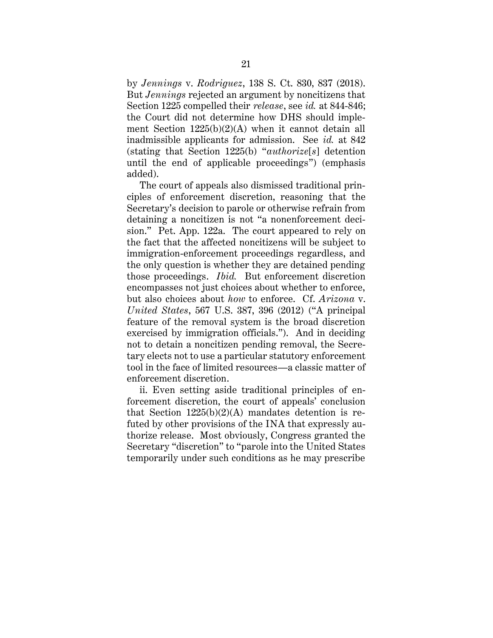by *Jennings* v. *Rodriguez*, 138 S. Ct. 830, 837 (2018). But *Jennings* rejected an argument by noncitizens that Section 1225 compelled their *release*, see *id.* at 844-846; the Court did not determine how DHS should implement Section 1225(b)(2)(A) when it cannot detain all inadmissible applicants for admission. See *id.* at 842 (stating that Section 1225(b) "*authorize*[*s*] detention until the end of applicable proceedings") (emphasis added).

The court of appeals also dismissed traditional principles of enforcement discretion, reasoning that the Secretary's decision to parole or otherwise refrain from detaining a noncitizen is not "a nonenforcement decision." Pet. App. 122a. The court appeared to rely on the fact that the affected noncitizens will be subject to immigration-enforcement proceedings regardless, and the only question is whether they are detained pending those proceedings. *Ibid.* But enforcement discretion encompasses not just choices about whether to enforce, but also choices about *how* to enforce. Cf. *Arizona* v. *United States*, 567 U.S. 387, 396 (2012) ("A principal feature of the removal system is the broad discretion exercised by immigration officials."). And in deciding not to detain a noncitizen pending removal, the Secretary elects not to use a particular statutory enforcement tool in the face of limited resources—a classic matter of enforcement discretion.

ii. Even setting aside traditional principles of enforcement discretion, the court of appeals' conclusion that Section  $1225(b)(2)(A)$  mandates detention is refuted by other provisions of the INA that expressly authorize release. Most obviously, Congress granted the Secretary "discretion" to "parole into the United States temporarily under such conditions as he may prescribe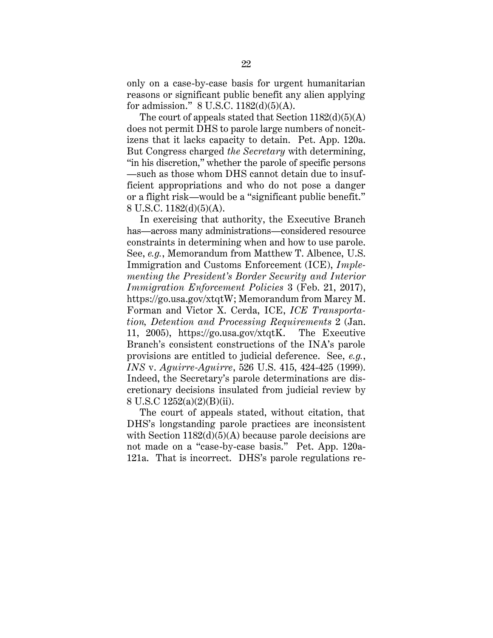only on a case-by-case basis for urgent humanitarian reasons or significant public benefit any alien applying for admission." 8 U.S.C. 1182(d)(5)(A).

The court of appeals stated that Section  $1182(d)(5)(A)$ does not permit DHS to parole large numbers of noncitizens that it lacks capacity to detain. Pet. App. 120a. But Congress charged *the Secretary* with determining, "in his discretion," whether the parole of specific persons —such as those whom DHS cannot detain due to insufficient appropriations and who do not pose a danger or a flight risk—would be a "significant public benefit." 8 U.S.C. 1182(d)(5)(A).

In exercising that authority, the Executive Branch has—across many administrations—considered resource constraints in determining when and how to use parole. See, *e.g.*, Memorandum from Matthew T. Albence, U.S. Immigration and Customs Enforcement (ICE), *Implementing the President's Border Security and Interior Immigration Enforcement Policies* 3 (Feb. 21, 2017), https://go.usa.gov/xtqtW; Memorandum from Marcy M. Forman and Victor X. Cerda, ICE, *ICE Transportation, Detention and Processing Requirements* 2 (Jan. 11, 2005), https://go.usa.gov/xtqtK. The Executive Branch's consistent constructions of the INA's parole provisions are entitled to judicial deference. See, *e.g.*, *INS* v. *Aguirre-Aguirre*, 526 U.S. 415, 424-425 (1999). Indeed, the Secretary's parole determinations are discretionary decisions insulated from judicial review by 8 U.S.C 1252(a)(2)(B)(ii).

The court of appeals stated, without citation, that DHS's longstanding parole practices are inconsistent with Section  $1182(d)(5)(A)$  because parole decisions are not made on a "case-by-case basis." Pet. App. 120a-121a. That is incorrect. DHS's parole regulations re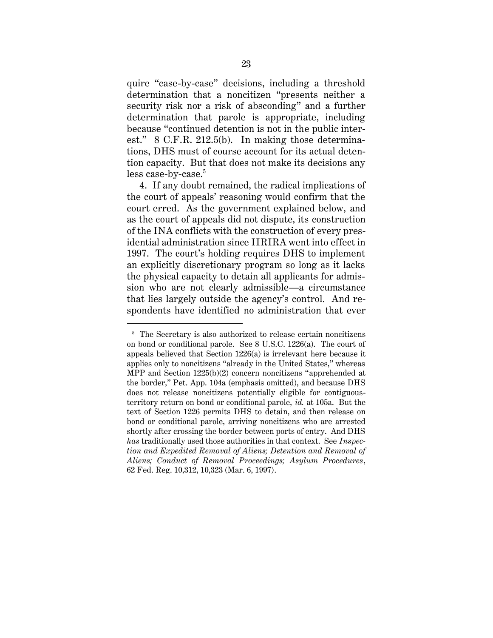quire "case-by-case" decisions, including a threshold determination that a noncitizen "presents neither a security risk nor a risk of absconding" and a further determination that parole is appropriate, including because "continued detention is not in the public interest." 8 C.F.R. 212.5(b). In making those determinations, DHS must of course account for its actual detention capacity. But that does not make its decisions any less case-by-case.<sup>5</sup>

4. If any doubt remained, the radical implications of the court of appeals' reasoning would confirm that the court erred. As the government explained below, and as the court of appeals did not dispute, its construction of the INA conflicts with the construction of every presidential administration since IIRIRA went into effect in 1997. The court's holding requires DHS to implement an explicitly discretionary program so long as it lacks the physical capacity to detain all applicants for admission who are not clearly admissible—a circumstance that lies largely outside the agency's control. And respondents have identified no administration that ever

<sup>&</sup>lt;sup>5</sup> The Secretary is also authorized to release certain noncitizens on bond or conditional parole. See 8 U.S.C. 1226(a). The court of appeals believed that Section 1226(a) is irrelevant here because it applies only to noncitizens "already in the United States," whereas MPP and Section 1225(b)(2) concern noncitizens "apprehended at the border," Pet. App. 104a (emphasis omitted), and because DHS does not release noncitizens potentially eligible for contiguousterritory return on bond or conditional parole, *id.* at 105a. But the text of Section 1226 permits DHS to detain, and then release on bond or conditional parole, arriving noncitizens who are arrested shortly after crossing the border between ports of entry. And DHS *has* traditionally used those authorities in that context. See *Inspection and Expedited Removal of Aliens; Detention and Removal of Aliens; Conduct of Removal Proceedings; Asylum Procedures*, 62 Fed. Reg. 10,312, 10,323 (Mar. 6, 1997).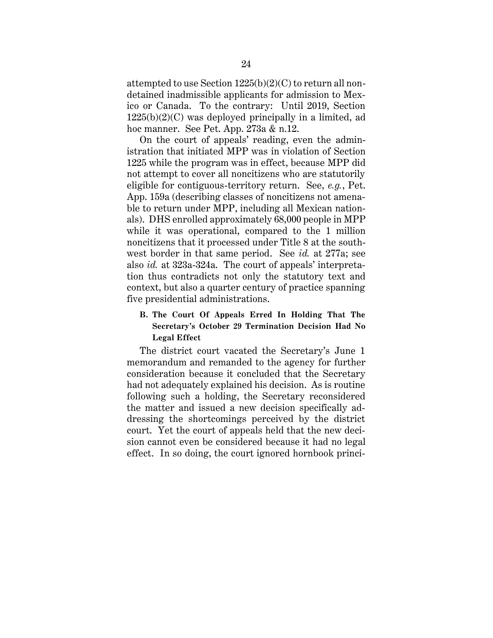attempted to use Section 1225(b)(2)(C) to return all nondetained inadmissible applicants for admission to Mexico or Canada. To the contrary: Until 2019, Section  $1225(b)(2)(C)$  was deployed principally in a limited, ad hoc manner. See Pet. App. 273a & n.12.

On the court of appeals' reading, even the administration that initiated MPP was in violation of Section 1225 while the program was in effect, because MPP did not attempt to cover all noncitizens who are statutorily eligible for contiguous-territory return. See, *e.g.*, Pet. App. 159a (describing classes of noncitizens not amenable to return under MPP, including all Mexican nationals). DHS enrolled approximately 68,000 people in MPP while it was operational, compared to the 1 million noncitizens that it processed under Title 8 at the southwest border in that same period. See *id.* at 277a; see also *id.* at 323a-324a. The court of appeals' interpretation thus contradicts not only the statutory text and context, but also a quarter century of practice spanning five presidential administrations.

## <span id="page-33-0"></span>**B. The Court Of Appeals Erred In Holding That The Secretary's October 29 Termination Decision Had No Legal Effect**

The district court vacated the Secretary's June 1 memorandum and remanded to the agency for further consideration because it concluded that the Secretary had not adequately explained his decision. As is routine following such a holding, the Secretary reconsidered the matter and issued a new decision specifically addressing the shortcomings perceived by the district court. Yet the court of appeals held that the new decision cannot even be considered because it had no legal effect. In so doing, the court ignored hornbook princi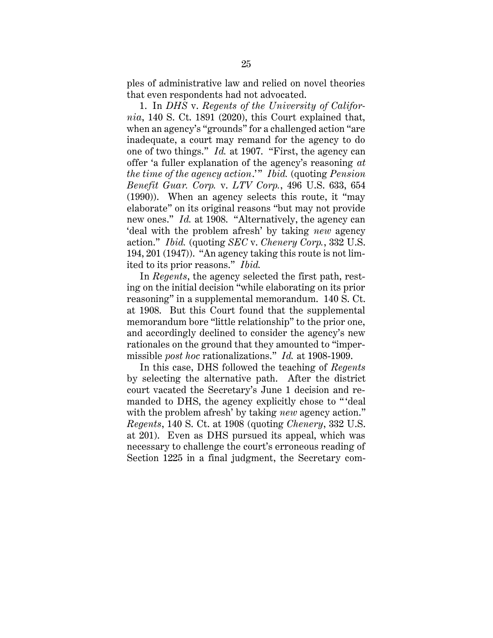ples of administrative law and relied on novel theories that even respondents had not advocated.

1. In *DHS* v. *Regents of the University of California*, 140 S. Ct. 1891 (2020), this Court explained that, when an agency's "grounds" for a challenged action "are inadequate, a court may remand for the agency to do one of two things." *Id.* at 1907. "First, the agency can offer 'a fuller explanation of the agency's reasoning *at the time of the agency action.*'" *Ibid.* (quoting *Pension Benefit Guar. Corp.* v. *LTV Corp.*, 496 U.S. 633, 654 (1990)). When an agency selects this route, it "may elaborate" on its original reasons "but may not provide new ones." *Id.* at 1908. "Alternatively, the agency can 'deal with the problem afresh' by taking *new* agency action." *Ibid.* (quoting *SEC* v. *Chenery Corp.*, 332 U.S. 194, 201 (1947)). "An agency taking this route is not limited to its prior reasons." *Ibid.*

In *Regents*, the agency selected the first path, resting on the initial decision "while elaborating on its prior reasoning" in a supplemental memorandum. 140 S. Ct. at 1908. But this Court found that the supplemental memorandum bore "little relationship" to the prior one, and accordingly declined to consider the agency's new rationales on the ground that they amounted to "impermissible *post hoc* rationalizations." *Id.* at 1908-1909.

In this case, DHS followed the teaching of *Regents* by selecting the alternative path. After the district court vacated the Secretary's June 1 decision and remanded to DHS, the agency explicitly chose to " 'deal with the problem afresh' by taking *new* agency action." *Regents*, 140 S. Ct. at 1908 (quoting *Chenery*, 332 U.S. at 201). Even as DHS pursued its appeal, which was necessary to challenge the court's erroneous reading of Section 1225 in a final judgment, the Secretary com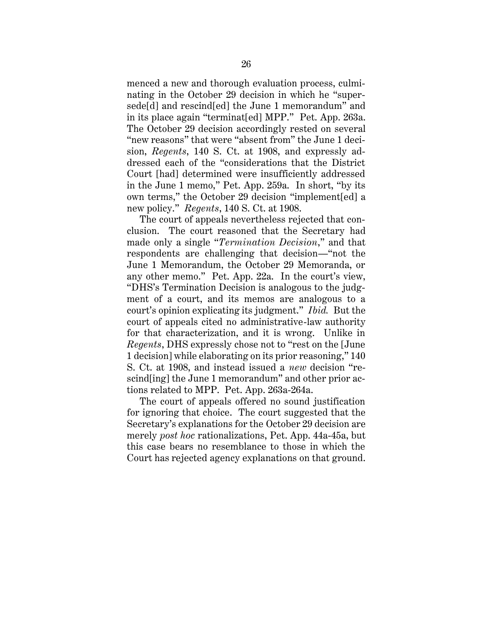menced a new and thorough evaluation process, culminating in the October 29 decision in which he "supersede[d] and rescind[ed] the June 1 memorandum" and in its place again "terminat[ed] MPP." Pet. App. 263a. The October 29 decision accordingly rested on several "new reasons" that were "absent from" the June 1 decision, *Regents*, 140 S. Ct. at 1908, and expressly addressed each of the "considerations that the District Court [had] determined were insufficiently addressed in the June 1 memo," Pet. App. 259a. In short, "by its own terms," the October 29 decision "implement[ed] a new policy." *Regents*, 140 S. Ct. at 1908.

The court of appeals nevertheless rejected that conclusion. The court reasoned that the Secretary had made only a single "*Termination Decision*," and that respondents are challenging that decision—"not the June 1 Memorandum, the October 29 Memoranda, or any other memo." Pet. App. 22a. In the court's view, "DHS's Termination Decision is analogous to the judgment of a court, and its memos are analogous to a court's opinion explicating its judgment." *Ibid.* But the court of appeals cited no administrative-law authority for that characterization, and it is wrong. Unlike in *Regents*, DHS expressly chose not to "rest on the [June 1 decision] while elaborating on its prior reasoning," 140 S. Ct. at 1908, and instead issued a *new* decision "rescind[ing] the June 1 memorandum" and other prior actions related to MPP. Pet. App. 263a-264a.

The court of appeals offered no sound justification for ignoring that choice. The court suggested that the Secretary's explanations for the October 29 decision are merely *post hoc* rationalizations, Pet. App. 44a-45a, but this case bears no resemblance to those in which the Court has rejected agency explanations on that ground.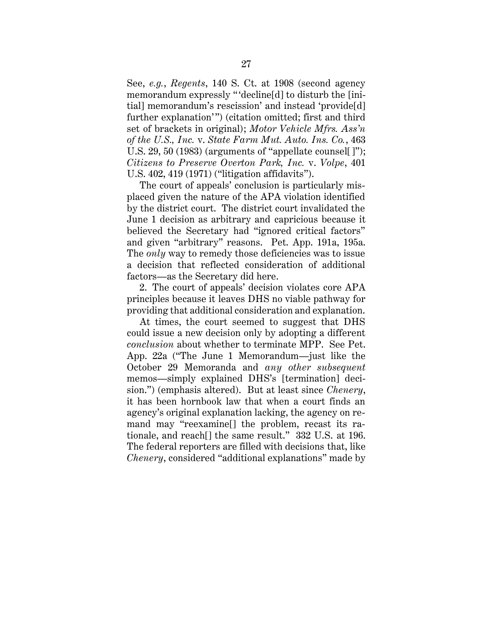See, *e.g.*, *Regents*, 140 S. Ct. at 1908 (second agency memorandum expressly " 'decline[d] to disturb the [initial] memorandum's rescission' and instead 'provide[d] further explanation'") (citation omitted; first and third set of brackets in original); *Motor Vehicle Mfrs. Ass'n of the U.S., Inc.* v. *State Farm Mut. Auto. Ins. Co.*, 463 U.S. 29, 50 (1983) (arguments of "appellate counsel[]"); *Citizens to Preserve Overton Park, Inc.* v. *Volpe*, 401 U.S. 402, 419 (1971) ("litigation affidavits").

The court of appeals' conclusion is particularly misplaced given the nature of the APA violation identified by the district court. The district court invalidated the June 1 decision as arbitrary and capricious because it believed the Secretary had "ignored critical factors" and given "arbitrary" reasons. Pet. App. 191a, 195a. The *only* way to remedy those deficiencies was to issue a decision that reflected consideration of additional factors—as the Secretary did here.

2. The court of appeals' decision violates core APA principles because it leaves DHS no viable pathway for providing that additional consideration and explanation.

At times, the court seemed to suggest that DHS could issue a new decision only by adopting a different *conclusion* about whether to terminate MPP. See Pet. App. 22a ("The June 1 Memorandum—just like the October 29 Memoranda and *any other subsequent* memos—simply explained DHS's [termination] decision.") (emphasis altered). But at least since *Chenery*, it has been hornbook law that when a court finds an agency's original explanation lacking, the agency on remand may "reexamine[] the problem, recast its rationale, and reach[] the same result." 332 U.S. at 196. The federal reporters are filled with decisions that, like *Chenery*, considered "additional explanations" made by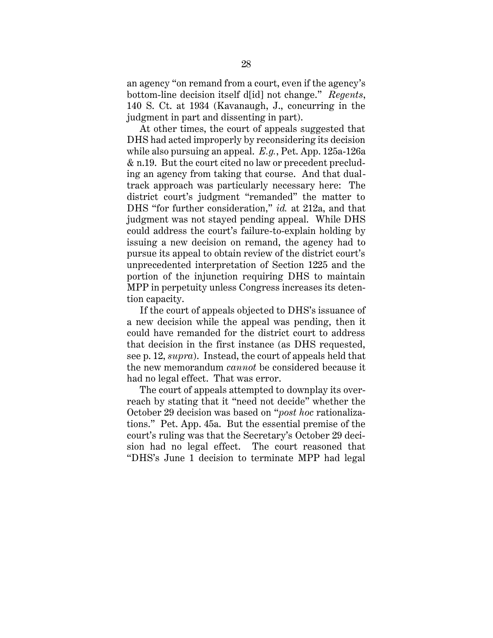an agency "on remand from a court, even if the agency's bottom-line decision itself d[id] not change." *Regents*, 140 S. Ct. at 1934 (Kavanaugh, J., concurring in the judgment in part and dissenting in part).

At other times, the court of appeals suggested that DHS had acted improperly by reconsidering its decision while also pursuing an appeal. *E.g.*, Pet. App. 125a-126a & n.19. But the court cited no law or precedent precluding an agency from taking that course. And that dualtrack approach was particularly necessary here: The district court's judgment "remanded" the matter to DHS "for further consideration," *id.* at 212a, and that judgment was not stayed pending appeal. While DHS could address the court's failure-to-explain holding by issuing a new decision on remand, the agency had to pursue its appeal to obtain review of the district court's unprecedented interpretation of Section 1225 and the portion of the injunction requiring DHS to maintain MPP in perpetuity unless Congress increases its detention capacity.

If the court of appeals objected to DHS's issuance of a new decision while the appeal was pending, then it could have remanded for the district court to address that decision in the first instance (as DHS requested, see p. 12, *supra*). Instead, the court of appeals held that the new memorandum *cannot* be considered because it had no legal effect. That was error.

The court of appeals attempted to downplay its overreach by stating that it "need not decide" whether the October 29 decision was based on "*post hoc* rationalizations." Pet. App. 45a. But the essential premise of the court's ruling was that the Secretary's October 29 decision had no legal effect. The court reasoned that "DHS's June 1 decision to terminate MPP had legal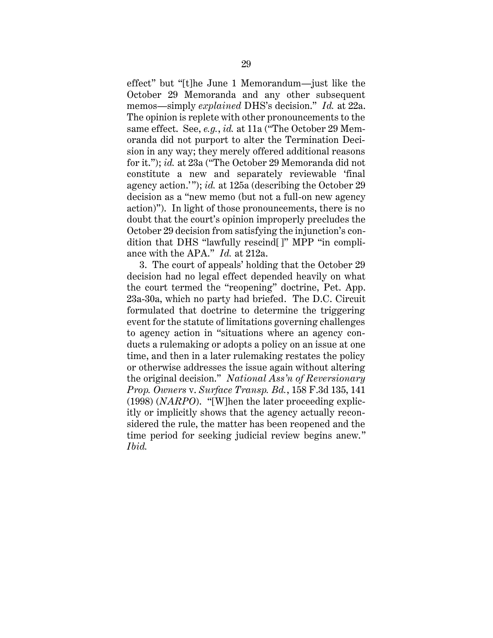effect" but "[t]he June 1 Memorandum—just like the October 29 Memoranda and any other subsequent memos—simply *explained* DHS's decision." *Id.* at 22a. The opinion is replete with other pronouncements to the same effect. See, *e.g.*, *id.* at 11a ("The October 29 Memoranda did not purport to alter the Termination Decision in any way; they merely offered additional reasons for it."); *id.* at 23a ("The October 29 Memoranda did not constitute a new and separately reviewable 'final agency action."); *id.* at 125a (describing the October 29 decision as a "new memo (but not a full-on new agency action)"). In light of those pronouncements, there is no doubt that the court's opinion improperly precludes the October 29 decision from satisfying the injunction's condition that DHS "lawfully rescind[]" MPP "in compliance with the APA." *Id.* at 212a.

3. The court of appeals' holding that the October 29 decision had no legal effect depended heavily on what the court termed the "reopening" doctrine, Pet. App. 23a-30a, which no party had briefed. The D.C. Circuit formulated that doctrine to determine the triggering event for the statute of limitations governing challenges to agency action in "situations where an agency conducts a rulemaking or adopts a policy on an issue at one time, and then in a later rulemaking restates the policy or otherwise addresses the issue again without altering the original decision." *National Ass'n of Reversionary Prop. Owners* v. *Surface Transp. Bd.*, 158 F.3d 135, 141 (1998) (*NARPO*). "[W]hen the later proceeding explicitly or implicitly shows that the agency actually reconsidered the rule, the matter has been reopened and the time period for seeking judicial review begins anew." *Ibid.*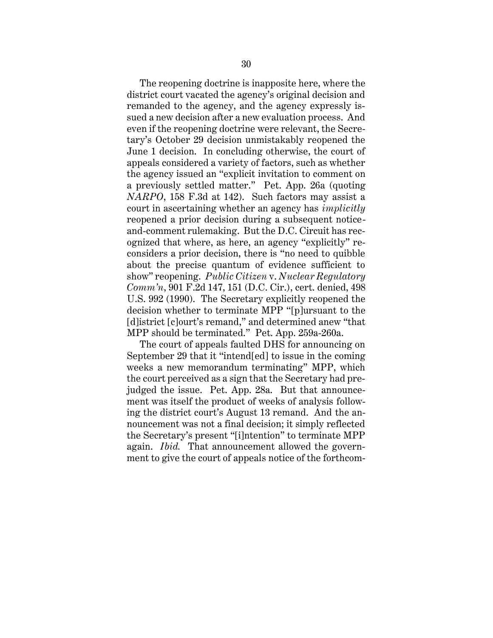The reopening doctrine is inapposite here, where the district court vacated the agency's original decision and remanded to the agency, and the agency expressly issued a new decision after a new evaluation process. And even if the reopening doctrine were relevant, the Secretary's October 29 decision unmistakably reopened the June 1 decision. In concluding otherwise, the court of appeals considered a variety of factors, such as whether the agency issued an "explicit invitation to comment on a previously settled matter." Pet. App. 26a (quoting *NARPO*, 158 F.3d at 142). Such factors may assist a court in ascertaining whether an agency has *implicitly*  reopened a prior decision during a subsequent noticeand-comment rulemaking. But the D.C. Circuit has recognized that where, as here, an agency "explicitly" reconsiders a prior decision, there is "no need to quibble about the precise quantum of evidence sufficient to show" reopening. *Public Citizen* v. *Nuclear Regulatory Comm'n*, 901 F.2d 147, 151 (D.C. Cir.), cert. denied, 498 U.S. 992 (1990). The Secretary explicitly reopened the decision whether to terminate MPP "[p]ursuant to the [d]istrict [c]ourt's remand," and determined anew "that MPP should be terminated." Pet. App. 259a-260a.

The court of appeals faulted DHS for announcing on September 29 that it "intend[ed] to issue in the coming weeks a new memorandum terminating" MPP, which the court perceived as a sign that the Secretary had prejudged the issue. Pet. App. 28a. But that announcement was itself the product of weeks of analysis following the district court's August 13 remand. And the announcement was not a final decision; it simply reflected the Secretary's present "[i]ntention" to terminate MPP again. *Ibid.* That announcement allowed the government to give the court of appeals notice of the forthcom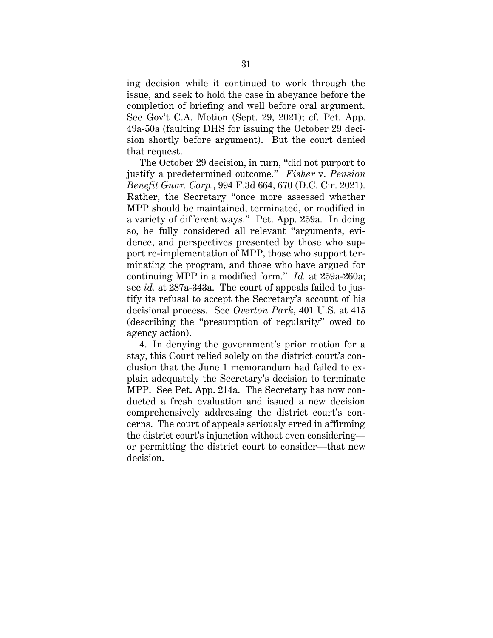ing decision while it continued to work through the issue, and seek to hold the case in abeyance before the completion of briefing and well before oral argument. See Gov't C.A. Motion (Sept. 29, 2021); cf. Pet. App. 49a-50a (faulting DHS for issuing the October 29 decision shortly before argument). But the court denied that request.

The October 29 decision, in turn, "did not purport to justify a predetermined outcome." *Fisher* v. *Pension Benefit Guar. Corp.*, 994 F.3d 664, 670 (D.C. Cir. 2021). Rather, the Secretary "once more assessed whether MPP should be maintained, terminated, or modified in a variety of different ways." Pet. App. 259a. In doing so, he fully considered all relevant "arguments, evidence, and perspectives presented by those who support re-implementation of MPP, those who support terminating the program, and those who have argued for continuing MPP in a modified form." *Id.* at 259a-260a; see *id.* at 287a-343a. The court of appeals failed to justify its refusal to accept the Secretary's account of his decisional process. See *Overton Park*, 401 U.S. at 415 (describing the "presumption of regularity" owed to agency action).

4. In denying the government's prior motion for a stay, this Court relied solely on the district court's conclusion that the June 1 memorandum had failed to explain adequately the Secretary's decision to terminate MPP. See Pet. App. 214a. The Secretary has now conducted a fresh evaluation and issued a new decision comprehensively addressing the district court's concerns. The court of appeals seriously erred in affirming the district court's injunction without even considering or permitting the district court to consider—that new decision.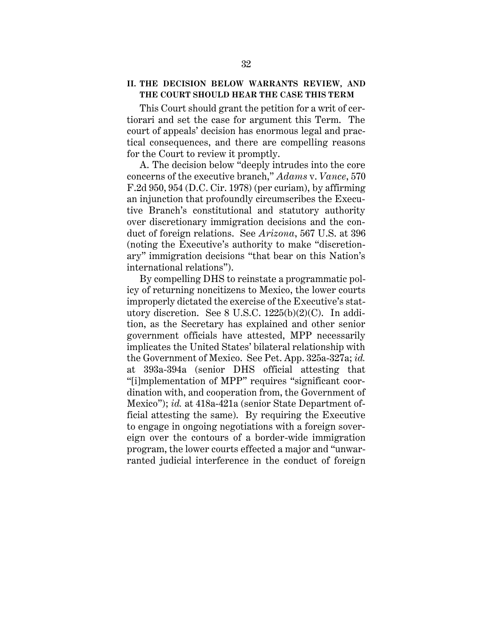## <span id="page-41-0"></span>**II. THE DECISION BELOW WARRANTS REVIEW, AND THE COURT SHOULD HEAR THE CASE THIS TERM**

This Court should grant the petition for a writ of certiorari and set the case for argument this Term. The court of appeals' decision has enormous legal and practical consequences, and there are compelling reasons for the Court to review it promptly.

A. The decision below "deeply intrudes into the core concerns of the executive branch," *Adams* v. *Vance*, 570 F.2d 950, 954 (D.C. Cir. 1978) (per curiam), by affirming an injunction that profoundly circumscribes the Executive Branch's constitutional and statutory authority over discretionary immigration decisions and the conduct of foreign relations. See *Arizona*, 567 U.S. at 396 (noting the Executive's authority to make "discretionary" immigration decisions "that bear on this Nation's international relations").

By compelling DHS to reinstate a programmatic policy of returning noncitizens to Mexico, the lower courts improperly dictated the exercise of the Executive's statutory discretion. See 8 U.S.C. 1225(b)(2)(C). In addition, as the Secretary has explained and other senior government officials have attested, MPP necessarily implicates the United States' bilateral relationship with the Government of Mexico. See Pet. App. 325a-327a; *id.* at 393a-394a (senior DHS official attesting that "[i]mplementation of MPP" requires "significant coordination with, and cooperation from, the Government of Mexico"); *id.* at 418a-421a (senior State Department official attesting the same). By requiring the Executive to engage in ongoing negotiations with a foreign sovereign over the contours of a border-wide immigration program, the lower courts effected a major and "unwarranted judicial interference in the conduct of foreign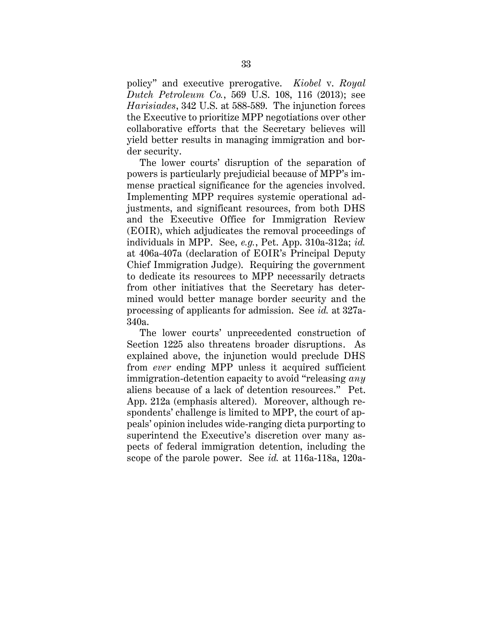policy" and executive prerogative. *Kiobel* v. *Royal Dutch Petroleum Co.*, 569 U.S. 108, 116 (2013); see *Harisiades*, 342 U.S. at 588-589. The injunction forces the Executive to prioritize MPP negotiations over other collaborative efforts that the Secretary believes will yield better results in managing immigration and border security.

The lower courts' disruption of the separation of powers is particularly prejudicial because of MPP's immense practical significance for the agencies involved. Implementing MPP requires systemic operational adjustments, and significant resources, from both DHS and the Executive Office for Immigration Review (EOIR), which adjudicates the removal proceedings of individuals in MPP. See, *e.g.*, Pet. App. 310a-312a; *id.* at 406a-407a (declaration of EOIR's Principal Deputy Chief Immigration Judge). Requiring the government to dedicate its resources to MPP necessarily detracts from other initiatives that the Secretary has determined would better manage border security and the processing of applicants for admission. See *id.* at 327a-340a.

The lower courts' unprecedented construction of Section 1225 also threatens broader disruptions. As explained above, the injunction would preclude DHS from *ever* ending MPP unless it acquired sufficient immigration-detention capacity to avoid "releasing *any* aliens because of a lack of detention resources." Pet. App. 212a (emphasis altered). Moreover, although respondents' challenge is limited to MPP, the court of appeals' opinion includes wide-ranging dicta purporting to superintend the Executive's discretion over many aspects of federal immigration detention, including the scope of the parole power. See *id.* at 116a-118a, 120a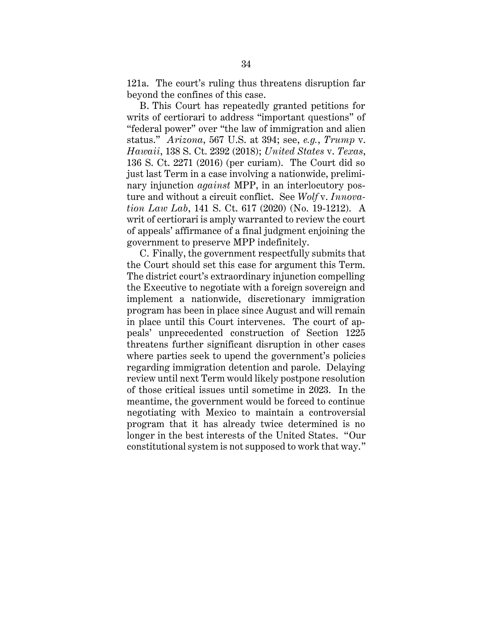121a. The court's ruling thus threatens disruption far beyond the confines of this case.

B. This Court has repeatedly granted petitions for writs of certiorari to address "important questions" of "federal power" over "the law of immigration and alien status." *Arizona*, 567 U.S. at 394; see, *e.g.*, *Trump* v. *Hawaii*, 138 S. Ct. 2392 (2018); *United States* v. *Texas*, 136 S. Ct. 2271 (2016) (per curiam). The Court did so just last Term in a case involving a nationwide, preliminary injunction *against* MPP, in an interlocutory posture and without a circuit conflict. See *Wolf* v. *Innovation Law Lab*, 141 S. Ct. 617 (2020) (No. 19-1212). A writ of certiorari is amply warranted to review the court of appeals' affirmance of a final judgment enjoining the government to preserve MPP indefinitely.

C. Finally, the government respectfully submits that the Court should set this case for argument this Term. The district court's extraordinary injunction compelling the Executive to negotiate with a foreign sovereign and implement a nationwide, discretionary immigration program has been in place since August and will remain in place until this Court intervenes. The court of appeals' unprecedented construction of Section 1225 threatens further significant disruption in other cases where parties seek to upend the government's policies regarding immigration detention and parole. Delaying review until next Term would likely postpone resolution of those critical issues until sometime in 2023. In the meantime, the government would be forced to continue negotiating with Mexico to maintain a controversial program that it has already twice determined is no longer in the best interests of the United States. "Our constitutional system is not supposed to work that way."